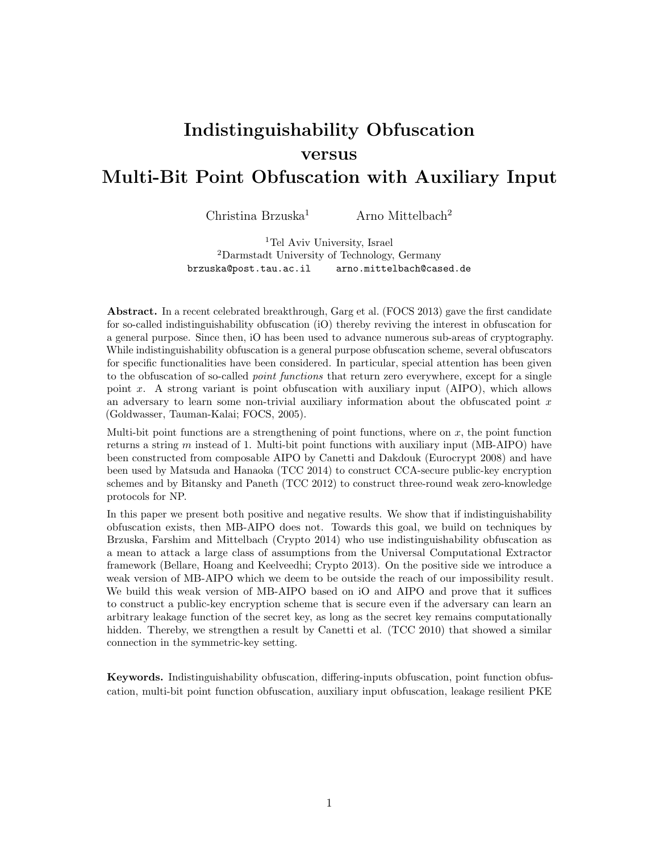# Indistinguishability Obfuscation versus Multi-Bit Point Obfuscation with Auxiliary Input

 $Christina Brzuska<sup>1</sup>$  Arno Mittelbach<sup>2</sup>

<sup>1</sup>Tel Aviv University, Israel <sup>2</sup>Darmstadt University of Technology, Germany brzuska@post.tau.ac.il arno.mittelbach@cased.de

Abstract. In a recent celebrated breakthrough, Garg et al. (FOCS 2013) gave the first candidate for so-called indistinguishability obfuscation (iO) thereby reviving the interest in obfuscation for a general purpose. Since then, iO has been used to advance numerous sub-areas of cryptography. While indistinguishability obfuscation is a general purpose obfuscation scheme, several obfuscators for specific functionalities have been considered. In particular, special attention has been given to the obfuscation of so-called point functions that return zero everywhere, except for a single point x. A strong variant is point obfuscation with auxiliary input  $(AIPO)$ , which allows an adversary to learn some non-trivial auxiliary information about the obfuscated point  $x$ (Goldwasser, Tauman-Kalai; FOCS, 2005).

Multi-bit point functions are a strengthening of point functions, where on  $x$ , the point function returns a string  $m$  instead of 1. Multi-bit point functions with auxiliary input (MB-AIPO) have been constructed from composable AIPO by Canetti and Dakdouk (Eurocrypt 2008) and have been used by Matsuda and Hanaoka (TCC 2014) to construct CCA-secure public-key encryption schemes and by Bitansky and Paneth (TCC 2012) to construct three-round weak zero-knowledge protocols for NP.

In this paper we present both positive and negative results. We show that if indistinguishability obfuscation exists, then MB-AIPO does not. Towards this goal, we build on techniques by Brzuska, Farshim and Mittelbach (Crypto 2014) who use indistinguishability obfuscation as a mean to attack a large class of assumptions from the Universal Computational Extractor framework (Bellare, Hoang and Keelveedhi; Crypto 2013). On the positive side we introduce a weak version of MB-AIPO which we deem to be outside the reach of our impossibility result. We build this weak version of MB-AIPO based on iO and AIPO and prove that it suffices to construct a public-key encryption scheme that is secure even if the adversary can learn an arbitrary leakage function of the secret key, as long as the secret key remains computationally hidden. Thereby, we strengthen a result by Canetti et al. (TCC 2010) that showed a similar connection in the symmetric-key setting.

Keywords. Indistinguishability obfuscation, differing-inputs obfuscation, point function obfuscation, multi-bit point function obfuscation, auxiliary input obfuscation, leakage resilient PKE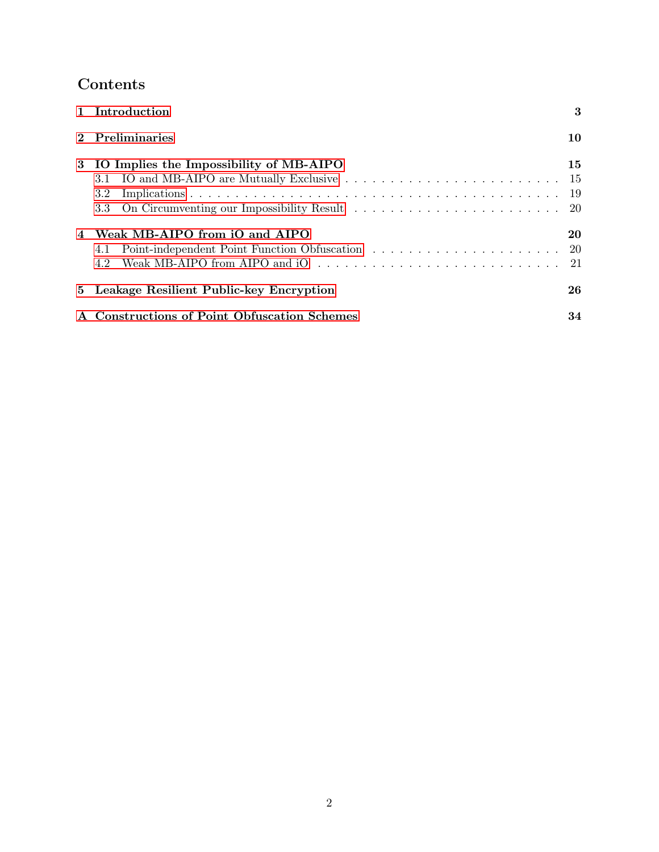# Contents

|   | 1 Introduction                                                     | 3  |  |  |
|---|--------------------------------------------------------------------|----|--|--|
|   | Preliminaries                                                      |    |  |  |
| 3 | IO Implies the Impossibility of MB-AIPO<br>3.2<br>$3.3\phantom{0}$ | 15 |  |  |
| 4 | Weak MB-AIPO from iO and AIPO<br>4.1<br>4.2                        | 20 |  |  |
|   | 5 Leakage Resilient Public-key Encryption                          |    |  |  |
|   | <b>Constructions of Point Obfuscation Schemes</b>                  |    |  |  |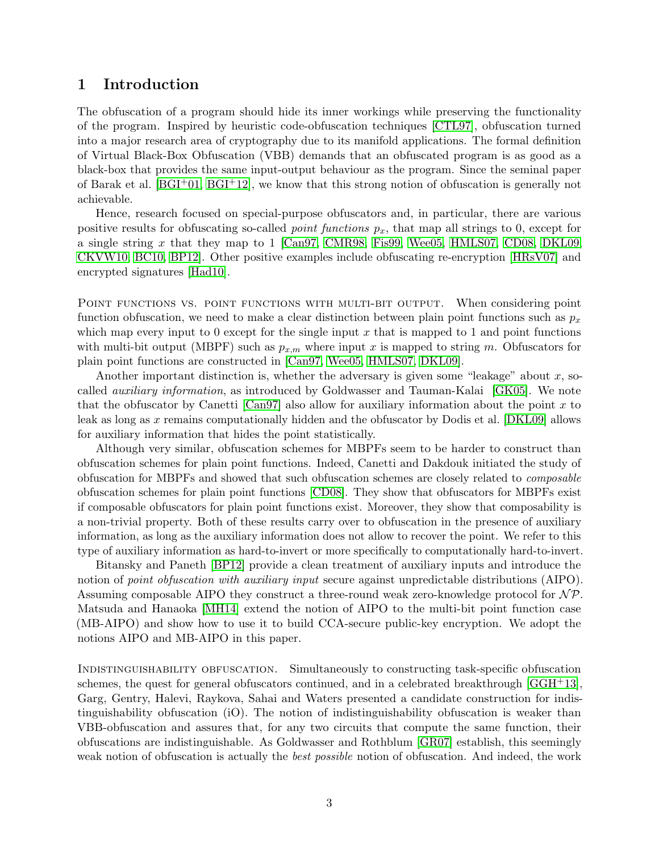# <span id="page-2-1"></span><span id="page-2-0"></span>1 Introduction

The obfuscation of a program should hide its inner workings while preserving the functionality of the program. Inspired by heuristic code-obfuscation techniques [\[CTL97\]](#page-30-0), obfuscation turned into a major research area of cryptography due to its manifold applications. The formal definition of Virtual Black-Box Obfuscation (VBB) demands that an obfuscated program is as good as a black-box that provides the same input-output behaviour as the program. Since the seminal paper of Barak et al.  $[\text{BGI}^+01, \text{BGI}^+12]$  $[\text{BGI}^+01, \text{BGI}^+12]$  $[\text{BGI}^+01, \text{BGI}^+12]$ , we know that this strong notion of obfuscation is generally not achievable.

Hence, research focused on special-purpose obfuscators and, in particular, there are various positive results for obfuscating so-called *point functions*  $p_x$ , that map all strings to 0, except for a single string x that they map to 1 [\[Can97,](#page-30-1) [CMR98,](#page-30-2) [Fis99,](#page-30-3) [Wee05,](#page-33-1) [HMLS07,](#page-31-0) [CD08,](#page-30-4) [DKL09,](#page-30-5) [CKVW10,](#page-30-6) [BC10,](#page-27-0) [BP12\]](#page-29-0). Other positive examples include obfuscating re-encryption [\[HRsV07\]](#page-31-1) and encrypted signatures [\[Had10\]](#page-31-2).

POINT FUNCTIONS VS. POINT FUNCTIONS WITH MULTI-BIT OUTPUT. When considering point function obfuscation, we need to make a clear distinction between plain point functions such as  $p_x$ which map every input to 0 except for the single input  $x$  that is mapped to 1 and point functions with multi-bit output (MBPF) such as  $p_{x,m}$  where input x is mapped to string m. Obfuscators for plain point functions are constructed in [\[Can97,](#page-30-1) [Wee05,](#page-33-1) [HMLS07,](#page-31-0) [DKL09\]](#page-30-5).

Another important distinction is, whether the adversary is given some "leakage" about  $x$ , socalled auxiliary information, as introduced by Goldwasser and Tauman-Kalai [\[GK05\]](#page-31-3). We note that the obfuscator by Canetti  $\lfloor \text{Can}97 \rfloor$  also allow for auxiliary information about the point x to leak as long as x remains computationally hidden and the obfuscator by Dodis et al. [\[DKL09\]](#page-30-5) allows for auxiliary information that hides the point statistically.

Although very similar, obfuscation schemes for MBPFs seem to be harder to construct than obfuscation schemes for plain point functions. Indeed, Canetti and Dakdouk initiated the study of obfuscation for MBPFs and showed that such obfuscation schemes are closely related to composable obfuscation schemes for plain point functions [\[CD08\]](#page-30-4). They show that obfuscators for MBPFs exist if composable obfuscators for plain point functions exist. Moreover, they show that composability is a non-trivial property. Both of these results carry over to obfuscation in the presence of auxiliary information, as long as the auxiliary information does not allow to recover the point. We refer to this type of auxiliary information as hard-to-invert or more specifically to computationally hard-to-invert.

Bitansky and Paneth [\[BP12\]](#page-29-0) provide a clean treatment of auxiliary inputs and introduce the notion of *point obfuscation with auxiliary input* secure against unpredictable distributions (AIPO). Assuming composable AIPO they construct a three-round weak zero-knowledge protocol for  $N\mathcal{P}$ . Matsuda and Hanaoka [\[MH14\]](#page-32-0) extend the notion of AIPO to the multi-bit point function case (MB-AIPO) and show how to use it to build CCA-secure public-key encryption. We adopt the notions AIPO and MB-AIPO in this paper.

Indistinguishability obfuscation. Simultaneously to constructing task-specific obfuscation schemes, the quest for general obfuscators continued, and in a celebrated breakthrough [\[GGH](#page-30-7)+13], Garg, Gentry, Halevi, Raykova, Sahai and Waters presented a candidate construction for indistinguishability obfuscation (iO). The notion of indistinguishability obfuscation is weaker than VBB-obfuscation and assures that, for any two circuits that compute the same function, their obfuscations are indistinguishable. As Goldwasser and Rothblum [\[GR07\]](#page-31-4) establish, this seemingly weak notion of obfuscation is actually the *best possible* notion of obfuscation. And indeed, the work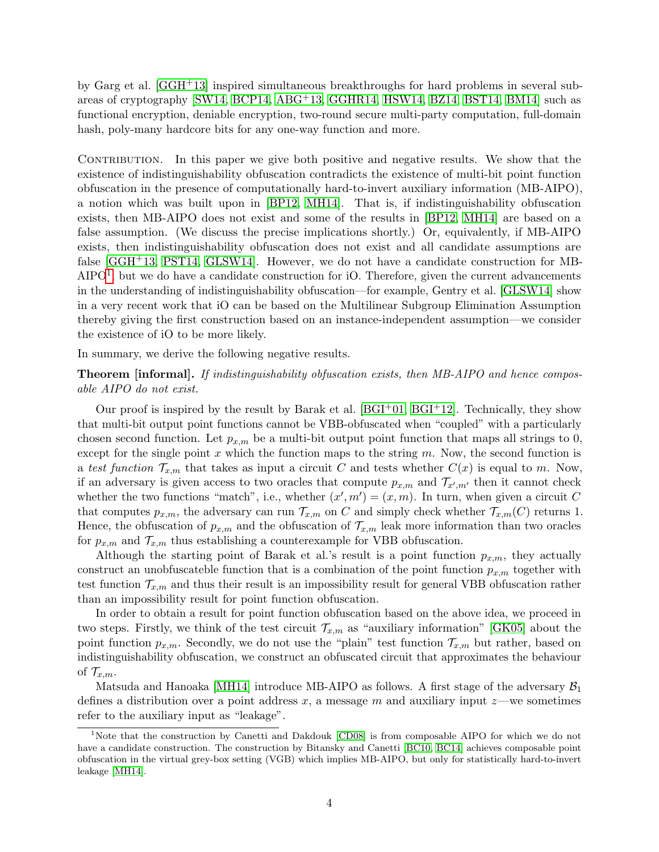<span id="page-3-1"></span>by Garg et al. [\[GGH](#page-30-7)+13] inspired simultaneous breakthroughs for hard problems in several subareas of cryptography [\[SW14,](#page-32-1) [BCP14,](#page-28-2) [ABG](#page-27-1)+13, [GGHR14,](#page-31-5) [HSW14,](#page-32-2) [BZ14,](#page-30-8) [BST14,](#page-29-1) [BM14\]](#page-29-2) such as functional encryption, deniable encryption, two-round secure multi-party computation, full-domain hash, poly-many hardcore bits for any one-way function and more.

CONTRIBUTION. In this paper we give both positive and negative results. We show that the existence of indistinguishability obfuscation contradicts the existence of multi-bit point function obfuscation in the presence of computationally hard-to-invert auxiliary information (MB-AIPO), a notion which was built upon in [\[BP12,](#page-29-0) [MH14\]](#page-32-0). That is, if indistinguishability obfuscation exists, then MB-AIPO does not exist and some of the results in [\[BP12,](#page-29-0) [MH14\]](#page-32-0) are based on a false assumption. (We discuss the precise implications shortly.) Or, equivalently, if MB-AIPO exists, then indistinguishability obfuscation does not exist and all candidate assumptions are false [\[GGH](#page-30-7)+13, [PST14,](#page-32-3) [GLSW14\]](#page-31-6). However, we do not have a candidate construction for MB- $AIPO<sup>1</sup>$  $AIPO<sup>1</sup>$  $AIPO<sup>1</sup>$ , but we do have a candidate construction for iO. Therefore, given the current advancements in the understanding of indistinguishability obfuscation—for example, Gentry et al. [\[GLSW14\]](#page-31-6) show in a very recent work that iO can be based on the Multilinear Subgroup Elimination Assumption thereby giving the first construction based on an instance-independent assumption—we consider the existence of iO to be more likely.

In summary, we derive the following negative results.

Theorem [informal]. If indistinguishability obfuscation exists, then MB-AIPO and hence composable AIPO do not exist.

Our proof is inspired by the result by Barak et al.  $[BGI^+01, BGI^+12]$  $[BGI^+01, BGI^+12]$  $[BGI^+01, BGI^+12]$  $[BGI^+01, BGI^+12]$ . Technically, they show that multi-bit output point functions cannot be VBB-obfuscated when "coupled" with a particularly chosen second function. Let  $p_{x,m}$  be a multi-bit output point function that maps all strings to 0, except for the single point x which the function maps to the string  $m$ . Now, the second function is a test function  $\mathcal{T}_{x,m}$  that takes as input a circuit C and tests whether  $C(x)$  is equal to m. Now, if an adversary is given access to two oracles that compute  $p_{x,m}$  and  $\mathcal{T}_{x',m'}$  then it cannot check whether the two functions "match", i.e., whether  $(x', m') = (x, m)$ . In turn, when given a circuit C that computes  $p_{x,m}$ , the adversary can run  $\mathcal{T}_{x,m}$  on C and simply check whether  $\mathcal{T}_{x,m}(C)$  returns 1. Hence, the obfuscation of  $p_{x,m}$  and the obfuscation of  $\mathcal{T}_{x,m}$  leak more information than two oracles for  $p_{x,m}$  and  $\mathcal{T}_{x,m}$  thus establishing a counterexample for VBB obfuscation.

Although the starting point of Barak et al.'s result is a point function  $p_{x,m}$ , they actually construct an unobfuscateble function that is a combination of the point function  $p_{x,m}$  together with test function  $\mathcal{T}_{x,m}$  and thus their result is an impossibility result for general VBB obfuscation rather than an impossibility result for point function obfuscation.

In order to obtain a result for point function obfuscation based on the above idea, we proceed in two steps. Firstly, we think of the test circuit  $\mathcal{T}_{x,m}$  as "auxiliary information" [\[GK05\]](#page-31-3) about the point function  $p_{x,m}$ . Secondly, we do not use the "plain" test function  $\mathcal{T}_{x,m}$  but rather, based on indistinguishability obfuscation, we construct an obfuscated circuit that approximates the behaviour of  $\mathcal{T}_{x,m}$ .

Matsuda and Hanoaka [\[MH14\]](#page-32-0) introduce MB-AIPO as follows. A first stage of the adversary  $\mathcal{B}_1$ defines a distribution over a point address x, a message m and auxiliary input  $z$ —we sometimes refer to the auxiliary input as "leakage".

<span id="page-3-0"></span><sup>&</sup>lt;sup>1</sup>Note that the construction by Canetti and Dakdouk [\[CD08\]](#page-30-4) is from composable AIPO for which we do not have a candidate construction. The construction by Bitansky and Canetti [\[BC10,](#page-27-0) [BC14\]](#page-28-3) achieves composable point obfuscation in the virtual grey-box setting (VGB) which implies MB-AIPO, but only for statistically hard-to-invert leakage [\[MH14\]](#page-32-0).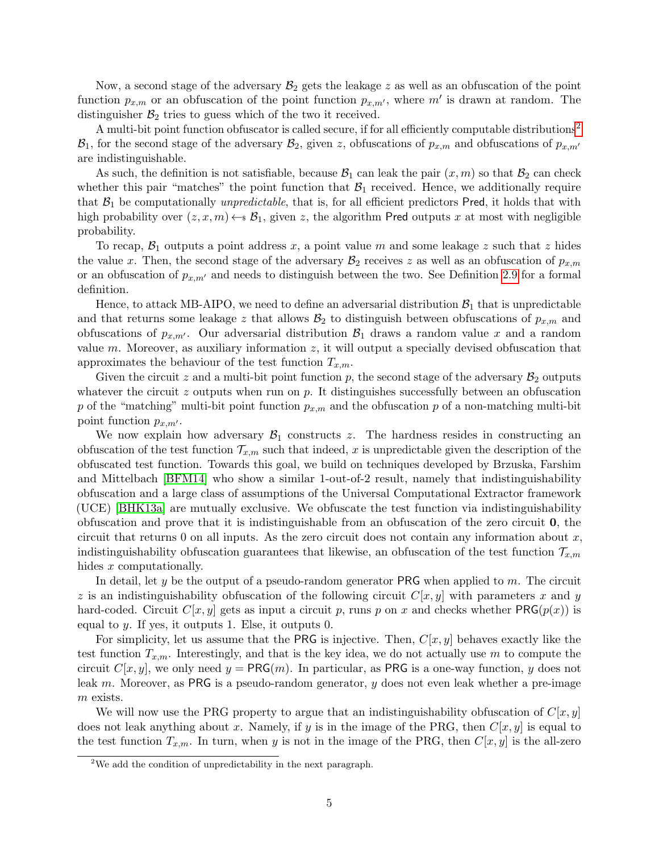<span id="page-4-1"></span>Now, a second stage of the adversary  $\mathcal{B}_2$  gets the leakage z as well as an obfuscation of the point function  $p_{x,m}$  or an obfuscation of the point function  $p_{x,m'}$ , where m' is drawn at random. The distinguisher  $\mathcal{B}_2$  tries to guess which of the two it received.

A multi-bit point function obfuscator is called secure, if for all efficiently computable distributions<sup>[2](#page-4-0)</sup>  $\mathcal{B}_1$ , for the second stage of the adversary  $\mathcal{B}_2$ , given z, obfuscations of  $p_{x,m}$  and obfuscations of  $p_{x,m}$ are indistinguishable.

As such, the definition is not satisfiable, because  $\mathcal{B}_1$  can leak the pair  $(x, m)$  so that  $\mathcal{B}_2$  can check whether this pair "matches" the point function that  $\mathcal{B}_1$  received. Hence, we additionally require that  $\mathcal{B}_1$  be computationally unpredictable, that is, for all efficient predictors Pred, it holds that with high probability over  $(z, x, m) \leftarrow \mathcal{B}_1$ , given z, the algorithm Pred outputs x at most with negligible probability.

To recap,  $\mathcal{B}_1$  outputs a point address x, a point value m and some leakage z such that z hides the value x. Then, the second stage of the adversary  $\mathcal{B}_2$  receives z as well as an obfuscation of  $p_{x,m}$ or an obfuscation of  $p_{x,m'}$  and needs to distinguish between the two. See Definition [2.9](#page-13-0) for a formal definition.

Hence, to attack MB-AIPO, we need to define an adversarial distribution  $\mathcal{B}_1$  that is unpredictable and that returns some leakage z that allows  $\mathcal{B}_2$  to distinguish between obfuscations of  $p_{x,m}$  and obfuscations of  $p_{x,m'}$ . Our adversarial distribution  $\mathcal{B}_1$  draws a random value x and a random value  $m$ . Moreover, as auxiliary information  $z$ , it will output a specially devised obfuscation that approximates the behaviour of the test function  $T_{x,m}$ .

Given the circuit z and a multi-bit point function p, the second stage of the adversary  $\mathcal{B}_2$  outputs whatever the circuit  $z$  outputs when run on  $p$ . It distinguishes successfully between an obfuscation p of the "matching" multi-bit point function  $p_{x,m}$  and the obfuscation p of a non-matching multi-bit point function  $p_{x,m'}$ .

We now explain how adversary  $\mathcal{B}_1$  constructs z. The hardness resides in constructing an obfuscation of the test function  $\mathcal{T}_{x,m}$  such that indeed, x is unpredictable given the description of the obfuscated test function. Towards this goal, we build on techniques developed by Brzuska, Farshim and Mittelbach [\[BFM14\]](#page-28-4) who show a similar 1-out-of-2 result, namely that indistinguishability obfuscation and a large class of assumptions of the Universal Computational Extractor framework (UCE) [\[BHK13a\]](#page-29-3) are mutually exclusive. We obfuscate the test function via indistinguishability obfuscation and prove that it is indistinguishable from an obfuscation of the zero circuit 0, the circuit that returns 0 on all inputs. As the zero circuit does not contain any information about  $x$ , indistinguishability obfuscation guarantees that likewise, an obfuscation of the test function  $\mathcal{T}_{x,m}$ hides x computationally.

In detail, let y be the output of a pseudo-random generator **PRG** when applied to  $m$ . The circuit z is an indistinguishability obfuscation of the following circuit  $C[x, y]$  with parameters x and y hard-coded. Circuit  $C[x, y]$  gets as input a circuit p, runs p on x and checks whether  $PRG(p(x))$  is equal to y. If yes, it outputs 1. Else, it outputs 0.

For simplicity, let us assume that the PRG is injective. Then,  $C[x, y]$  behaves exactly like the test function  $T_{x,m}$ . Interestingly, and that is the key idea, we do not actually use m to compute the circuit  $C[x, y]$ , we only need  $y = PRG(m)$ . In particular, as PRG is a one-way function, y does not leak  $m$ . Moreover, as PRG is a pseudo-random generator,  $y$  does not even leak whether a pre-image m exists.

We will now use the PRG property to argue that an indistinguishability obfuscation of  $C[x, y]$ does not leak anything about x. Namely, if y is in the image of the PRG, then  $C[x, y]$  is equal to the test function  $T_{x,m}$ . In turn, when y is not in the image of the PRG, then  $C[x, y]$  is the all-zero

<span id="page-4-0"></span><sup>&</sup>lt;sup>2</sup>We add the condition of unpredictability in the next paragraph.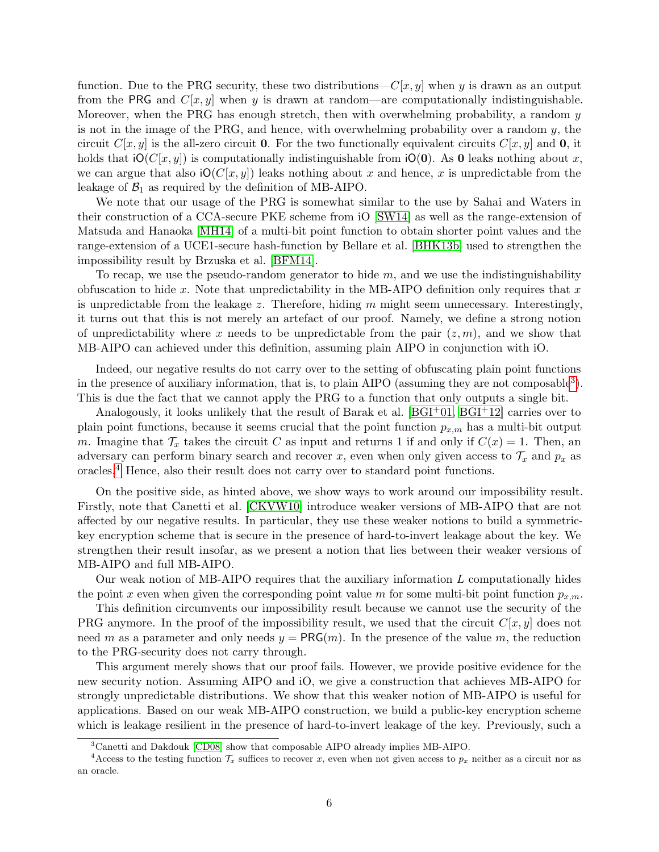<span id="page-5-2"></span>function. Due to the PRG security, these two distributions— $C[x, y]$  when y is drawn as an output from the PRG and  $C[x, y]$  when y is drawn at random—are computationally indistinguishable. Moreover, when the PRG has enough stretch, then with overwhelming probability, a random y is not in the image of the PRG, and hence, with overwhelming probability over a random  $y$ , the circuit  $C[x, y]$  is the all-zero circuit **0**. For the two functionally equivalent circuits  $C[x, y]$  and **0**, it holds that  $\mathcal{O}(C[x, y])$  is computationally indistinguishable from  $\mathcal{O}(0)$ . As 0 leaks nothing about x, we can argue that also  $O(C[x, y])$  leaks nothing about x and hence, x is unpredictable from the leakage of  $\mathcal{B}_1$  as required by the definition of MB-AIPO.

We note that our usage of the PRG is somewhat similar to the use by Sahai and Waters in their construction of a CCA-secure PKE scheme from iO [\[SW14\]](#page-32-1) as well as the range-extension of Matsuda and Hanaoka [\[MH14\]](#page-32-0) of a multi-bit point function to obtain shorter point values and the range-extension of a UCE1-secure hash-function by Bellare et al. [\[BHK13b\]](#page-29-4) used to strengthen the impossibility result by Brzuska et al. [\[BFM14\]](#page-28-4).

To recap, we use the pseudo-random generator to hide  $m$ , and we use the indistinguishability obfuscation to hide x. Note that unpredictability in the MB-AIPO definition only requires that x is unpredictable from the leakage  $z$ . Therefore, hiding  $m$  might seem unnecessary. Interestingly, it turns out that this is not merely an artefact of our proof. Namely, we define a strong notion of unpredictability where x needs to be unpredictable from the pair  $(z, m)$ , and we show that MB-AIPO can achieved under this definition, assuming plain AIPO in conjunction with iO.

Indeed, our negative results do not carry over to the setting of obfuscating plain point functions in the presence of auxiliary information, that is, to plain AIPO (assuming they are not composable<sup>[3](#page-5-0)</sup>). This is due the fact that we cannot apply the PRG to a function that only outputs a single bit.

Analogously, it looks unlikely that the result of Barak et al.  $[{\rm BGI^+01, \, BGI^+12}]$  $[{\rm BGI^+01, \, BGI^+12}]$  $[{\rm BGI^+01, \, BGI^+12}]$  carries over to plain point functions, because it seems crucial that the point function  $p_{x,m}$  has a multi-bit output m. Imagine that  $\mathcal{T}_x$  takes the circuit C as input and returns 1 if and only if  $C(x) = 1$ . Then, an adversary can perform binary search and recover x, even when only given access to  $\mathcal{T}_x$  and  $p_x$  as oracles.[4](#page-5-1) Hence, also their result does not carry over to standard point functions.

On the positive side, as hinted above, we show ways to work around our impossibility result. Firstly, note that Canetti et al. [\[CKVW10\]](#page-30-6) introduce weaker versions of MB-AIPO that are not affected by our negative results. In particular, they use these weaker notions to build a symmetrickey encryption scheme that is secure in the presence of hard-to-invert leakage about the key. We strengthen their result insofar, as we present a notion that lies between their weaker versions of MB-AIPO and full MB-AIPO.

Our weak notion of MB-AIPO requires that the auxiliary information  $L$  computationally hides the point x even when given the corresponding point value m for some multi-bit point function  $p_{x,m}$ .

This definition circumvents our impossibility result because we cannot use the security of the PRG anymore. In the proof of the impossibility result, we used that the circuit  $C[x, y]$  does not need m as a parameter and only needs  $y = PRG(m)$ . In the presence of the value m, the reduction to the PRG-security does not carry through.

This argument merely shows that our proof fails. However, we provide positive evidence for the new security notion. Assuming AIPO and iO, we give a construction that achieves MB-AIPO for strongly unpredictable distributions. We show that this weaker notion of MB-AIPO is useful for applications. Based on our weak MB-AIPO construction, we build a public-key encryption scheme which is leakage resilient in the presence of hard-to-invert leakage of the key. Previously, such a

<span id="page-5-1"></span><span id="page-5-0"></span><sup>3</sup>Canetti and Dakdouk [\[CD08\]](#page-30-4) show that composable AIPO already implies MB-AIPO.

<sup>&</sup>lt;sup>4</sup> Access to the testing function  $\mathcal{T}_x$  suffices to recover x, even when not given access to  $p_x$  neither as a circuit nor as an oracle.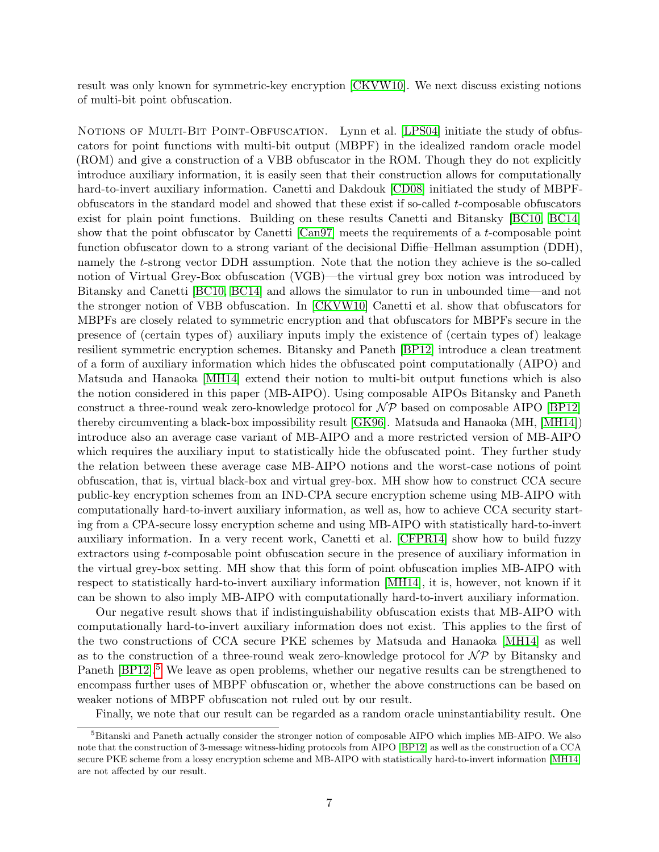<span id="page-6-1"></span>result was only known for symmetric-key encryption [\[CKVW10\]](#page-30-6). We next discuss existing notions of multi-bit point obfuscation.

NOTIONS OF MULTI-BIT POINT-OBFUSCATION. Lynn et al. [\[LPS04\]](#page-32-4) initiate the study of obfuscators for point functions with multi-bit output (MBPF) in the idealized random oracle model (ROM) and give a construction of a VBB obfuscator in the ROM. Though they do not explicitly introduce auxiliary information, it is easily seen that their construction allows for computationally hard-to-invert auxiliary information. Canetti and Dakdouk [\[CD08\]](#page-30-4) initiated the study of MBPFobfuscators in the standard model and showed that these exist if so-called t-composable obfuscators exist for plain point functions. Building on these results Canetti and Bitansky [\[BC10,](#page-27-0) [BC14\]](#page-28-3) show that the point obfuscator by Canetti  $[Can97]$  meets the requirements of a t-composable point function obfuscator down to a strong variant of the decisional Diffie–Hellman assumption (DDH), namely the t-strong vector DDH assumption. Note that the notion they achieve is the so-called notion of Virtual Grey-Box obfuscation (VGB)—the virtual grey box notion was introduced by Bitansky and Canetti [\[BC10,](#page-27-0) [BC14\]](#page-28-3) and allows the simulator to run in unbounded time—and not the stronger notion of VBB obfuscation. In [\[CKVW10\]](#page-30-6) Canetti et al. show that obfuscators for MBPFs are closely related to symmetric encryption and that obfuscators for MBPFs secure in the presence of (certain types of) auxiliary inputs imply the existence of (certain types of) leakage resilient symmetric encryption schemes. Bitansky and Paneth [\[BP12\]](#page-29-0) introduce a clean treatment of a form of auxiliary information which hides the obfuscated point computationally (AIPO) and Matsuda and Hanaoka [\[MH14\]](#page-32-0) extend their notion to multi-bit output functions which is also the notion considered in this paper (MB-AIPO). Using composable AIPOs Bitansky and Paneth construct a three-round weak zero-knowledge protocol for  $\mathcal{NP}$  based on composable AIPO [\[BP12\]](#page-29-0) thereby circumventing a black-box impossibility result [\[GK96\]](#page-31-7). Matsuda and Hanaoka (MH, [\[MH14\]](#page-32-0)) introduce also an average case variant of MB-AIPO and a more restricted version of MB-AIPO which requires the auxiliary input to statistically hide the obfuscated point. They further study the relation between these average case MB-AIPO notions and the worst-case notions of point obfuscation, that is, virtual black-box and virtual grey-box. MH show how to construct CCA secure public-key encryption schemes from an IND-CPA secure encryption scheme using MB-AIPO with computationally hard-to-invert auxiliary information, as well as, how to achieve CCA security starting from a CPA-secure lossy encryption scheme and using MB-AIPO with statistically hard-to-invert auxiliary information. In a very recent work, Canetti et al. [\[CFPR14\]](#page-30-9) show how to build fuzzy extractors using t-composable point obfuscation secure in the presence of auxiliary information in the virtual grey-box setting. MH show that this form of point obfuscation implies MB-AIPO with respect to statistically hard-to-invert auxiliary information [\[MH14\]](#page-32-0), it is, however, not known if it can be shown to also imply MB-AIPO with computationally hard-to-invert auxiliary information.

Our negative result shows that if indistinguishability obfuscation exists that MB-AIPO with computationally hard-to-invert auxiliary information does not exist. This applies to the first of the two constructions of CCA secure PKE schemes by Matsuda and Hanaoka [\[MH14\]](#page-32-0) as well as to the construction of a three-round weak zero-knowledge protocol for  $\mathcal{NP}$  by Bitansky and Paneth [\[BP12\]](#page-29-0).<sup>[5](#page-6-0)</sup> We leave as open problems, whether our negative results can be strengthened to encompass further uses of MBPF obfuscation or, whether the above constructions can be based on weaker notions of MBPF obfuscation not ruled out by our result.

<span id="page-6-0"></span>Finally, we note that our result can be regarded as a random oracle uninstantiability result. One

<sup>&</sup>lt;sup>5</sup>Bitanski and Paneth actually consider the stronger notion of composable AIPO which implies MB-AIPO. We also note that the construction of 3-message witness-hiding protocols from AIPO [\[BP12\]](#page-29-0) as well as the construction of a CCA secure PKE scheme from a lossy encryption scheme and MB-AIPO with statistically hard-to-invert information [\[MH14\]](#page-32-0) are not affected by our result.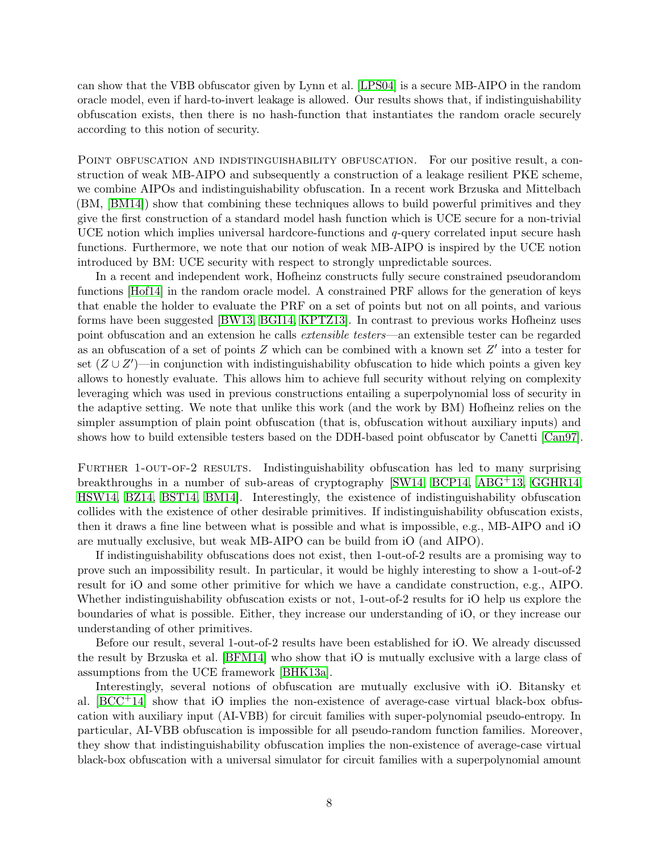<span id="page-7-0"></span>can show that the VBB obfuscator given by Lynn et al. [\[LPS04\]](#page-32-4) is a secure MB-AIPO in the random oracle model, even if hard-to-invert leakage is allowed. Our results shows that, if indistinguishability obfuscation exists, then there is no hash-function that instantiates the random oracle securely according to this notion of security.

POINT OBFUSCATION AND INDISTINGUISHABILITY OBFUSCATION. For our positive result, a construction of weak MB-AIPO and subsequently a construction of a leakage resilient PKE scheme, we combine AIPOs and indistinguishability obfuscation. In a recent work Brzuska and Mittelbach (BM, [\[BM14\]](#page-29-2)) show that combining these techniques allows to build powerful primitives and they give the first construction of a standard model hash function which is UCE secure for a non-trivial UCE notion which implies universal hardcore-functions and  $q$ -query correlated input secure hash functions. Furthermore, we note that our notion of weak MB-AIPO is inspired by the UCE notion introduced by BM: UCE security with respect to strongly unpredictable sources.

In a recent and independent work, Hofheinz constructs fully secure constrained pseudorandom functions [\[Hof14\]](#page-31-8) in the random oracle model. A constrained PRF allows for the generation of keys that enable the holder to evaluate the PRF on a set of points but not on all points, and various forms have been suggested [\[BW13,](#page-29-5) [BGI14,](#page-28-5) [KPTZ13\]](#page-32-5). In contrast to previous works Hofheinz uses point obfuscation and an extension he calls extensible testers—an extensible tester can be regarded as an obfuscation of a set of points  $Z$  which can be combined with a known set  $Z'$  into a tester for set  $(Z \cup Z')$ —in conjunction with indistinguishability obfuscation to hide which points a given key allows to honestly evaluate. This allows him to achieve full security without relying on complexity leveraging which was used in previous constructions entailing a superpolynomial loss of security in the adaptive setting. We note that unlike this work (and the work by BM) Hofheinz relies on the simpler assumption of plain point obfuscation (that is, obfuscation without auxiliary inputs) and shows how to build extensible testers based on the DDH-based point obfuscator by Canetti [\[Can97\]](#page-30-1).

FURTHER 1-OUT-OF-2 RESULTS. Indistinguishability obfuscation has led to many surprising breakthroughs in a number of sub-areas of cryptography [\[SW14,](#page-32-1) [BCP14,](#page-28-2) [ABG](#page-27-1)+13, [GGHR14,](#page-31-5) [HSW14,](#page-32-2) [BZ14,](#page-30-8) [BST14,](#page-29-1) [BM14\]](#page-29-2). Interestingly, the existence of indistinguishability obfuscation collides with the existence of other desirable primitives. If indistinguishability obfuscation exists, then it draws a fine line between what is possible and what is impossible, e.g., MB-AIPO and iO are mutually exclusive, but weak MB-AIPO can be build from iO (and AIPO).

If indistinguishability obfuscations does not exist, then 1-out-of-2 results are a promising way to prove such an impossibility result. In particular, it would be highly interesting to show a 1-out-of-2 result for iO and some other primitive for which we have a candidate construction, e.g., AIPO. Whether indistinguishability obfuscation exists or not, 1-out-of-2 results for iO help us explore the boundaries of what is possible. Either, they increase our understanding of iO, or they increase our understanding of other primitives.

Before our result, several 1-out-of-2 results have been established for iO. We already discussed the result by Brzuska et al. [\[BFM14\]](#page-28-4) who show that iO is mutually exclusive with a large class of assumptions from the UCE framework [\[BHK13a\]](#page-29-3).

Interestingly, several notions of obfuscation are mutually exclusive with iO. Bitansky et al.  $[BCC^+14]$  $[BCC^+14]$  show that iO implies the non-existence of average-case virtual black-box obfuscation with auxiliary input (AI-VBB) for circuit families with super-polynomial pseudo-entropy. In particular, AI-VBB obfuscation is impossible for all pseudo-random function families. Moreover, they show that indistinguishability obfuscation implies the non-existence of average-case virtual black-box obfuscation with a universal simulator for circuit families with a superpolynomial amount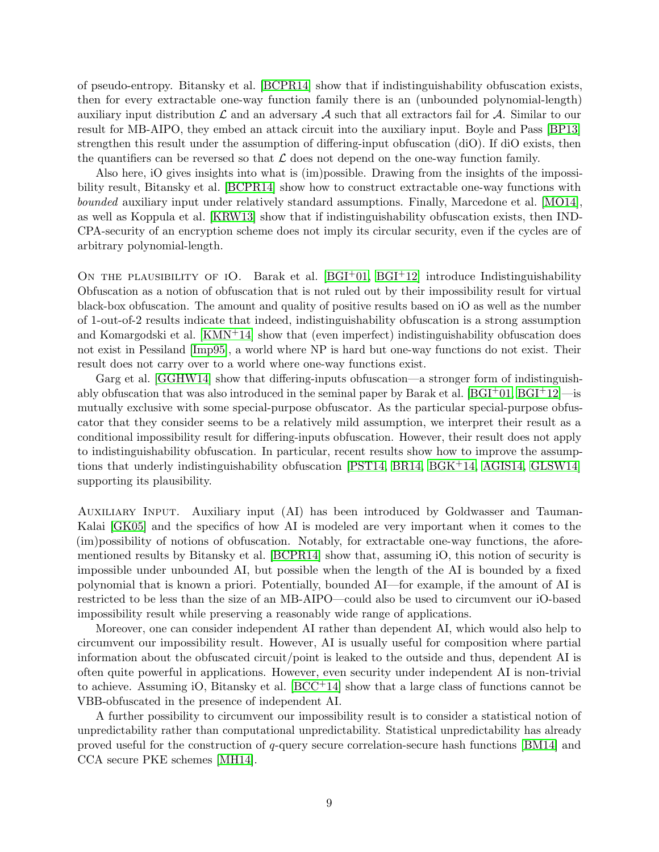<span id="page-8-0"></span>of pseudo-entropy. Bitansky et al. [\[BCPR14\]](#page-28-7) show that if indistinguishability obfuscation exists, then for every extractable one-way function family there is an (unbounded polynomial-length) auxiliary input distribution  $\mathcal L$  and an adversary  $\mathcal A$  such that all extractors fail for  $\mathcal A$ . Similar to our result for MB-AIPO, they embed an attack circuit into the auxiliary input. Boyle and Pass [\[BP13\]](#page-29-6) strengthen this result under the assumption of differing-input obfuscation (diO). If diO exists, then the quantifiers can be reversed so that  $\mathcal L$  does not depend on the one-way function family.

Also here, iO gives insights into what is (im)possible. Drawing from the insights of the impossi-bility result, Bitansky et al. [\[BCPR14\]](#page-28-7) show how to construct extractable one-way functions with bounded auxiliary input under relatively standard assumptions. Finally, Marcedone et al. [\[MO14\]](#page-32-6), as well as Koppula et al. [\[KRW13\]](#page-32-7) show that if indistinguishability obfuscation exists, then IND-CPA-security of an encryption scheme does not imply its circular security, even if the cycles are of arbitrary polynomial-length.

ON THE PLAUSIBILITY OF IO. Barak et al.  $[BGI^+01, BGI^+12]$  $[BGI^+01, BGI^+12]$  $[BGI^+01, BGI^+12]$  $[BGI^+01, BGI^+12]$  introduce Indistinguishability Obfuscation as a notion of obfuscation that is not ruled out by their impossibility result for virtual black-box obfuscation. The amount and quality of positive results based on iO as well as the number of 1-out-of-2 results indicate that indeed, indistinguishability obfuscation is a strong assumption and Komargodski et al.  $[KMN+14]$  $[KMN+14]$  show that (even imperfect) indistinguishability obfuscation does not exist in Pessiland [\[Imp95\]](#page-32-9), a world where NP is hard but one-way functions do not exist. Their result does not carry over to a world where one-way functions exist.

Garg et al. [\[GGHW14\]](#page-31-9) show that differing-inputs obfuscation—a stronger form of indistinguishably obfuscation that was also introduced in the seminal paper by Barak et al.  $[{\rm BGI^+01, BGI^+12}]$  $[{\rm BGI^+01, BGI^+12}]$  $[{\rm BGI^+01, BGI^+12}]$ —is mutually exclusive with some special-purpose obfuscator. As the particular special-purpose obfuscator that they consider seems to be a relatively mild assumption, we interpret their result as a conditional impossibility result for differing-inputs obfuscation. However, their result does not apply to indistinguishability obfuscation. In particular, recent results show how to improve the assumptions that underly indistinguishability obfuscation [\[PST14,](#page-32-3) [BR14,](#page-29-7) [BGK](#page-29-8)+14, [AGIS14,](#page-27-2) [GLSW14\]](#page-31-6) supporting its plausibility.

Auxiliary Input. Auxiliary input (AI) has been introduced by Goldwasser and Tauman-Kalai [\[GK05\]](#page-31-3) and the specifics of how AI is modeled are very important when it comes to the (im)possibility of notions of obfuscation. Notably, for extractable one-way functions, the aforementioned results by Bitansky et al. [\[BCPR14\]](#page-28-7) show that, assuming iO, this notion of security is impossible under unbounded AI, but possible when the length of the AI is bounded by a fixed polynomial that is known a priori. Potentially, bounded AI—for example, if the amount of AI is restricted to be less than the size of an MB-AIPO—could also be used to circumvent our iO-based impossibility result while preserving a reasonably wide range of applications.

Moreover, one can consider independent AI rather than dependent AI, which would also help to circumvent our impossibility result. However, AI is usually useful for composition where partial information about the obfuscated circuit/point is leaked to the outside and thus, dependent AI is often quite powerful in applications. However, even security under independent AI is non-trivial to achieve. Assuming iO, Bitansky et al.  $[BCC^+14]$  $[BCC^+14]$  show that a large class of functions cannot be VBB-obfuscated in the presence of independent AI.

A further possibility to circumvent our impossibility result is to consider a statistical notion of unpredictability rather than computational unpredictability. Statistical unpredictability has already proved useful for the construction of q-query secure correlation-secure hash functions [\[BM14\]](#page-29-2) and CCA secure PKE schemes [\[MH14\]](#page-32-0).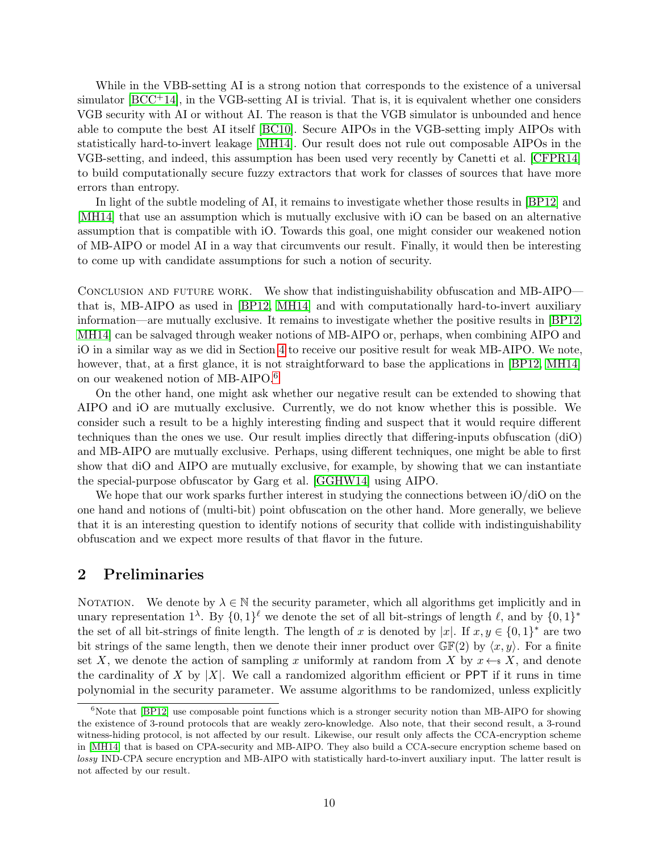<span id="page-9-2"></span>While in the VBB-setting AI is a strong notion that corresponds to the existence of a universal simulator  $[BCC+14]$  $[BCC+14]$ , in the VGB-setting AI is trivial. That is, it is equivalent whether one considers VGB security with AI or without AI. The reason is that the VGB simulator is unbounded and hence able to compute the best AI itself [\[BC10\]](#page-27-0). Secure AIPOs in the VGB-setting imply AIPOs with statistically hard-to-invert leakage [\[MH14\]](#page-32-0). Our result does not rule out composable AIPOs in the VGB-setting, and indeed, this assumption has been used very recently by Canetti et al. [\[CFPR14\]](#page-30-9) to build computationally secure fuzzy extractors that work for classes of sources that have more errors than entropy.

In light of the subtle modeling of AI, it remains to investigate whether those results in [\[BP12\]](#page-29-0) and [\[MH14\]](#page-32-0) that use an assumption which is mutually exclusive with iO can be based on an alternative assumption that is compatible with iO. Towards this goal, one might consider our weakened notion of MB-AIPO or model AI in a way that circumvents our result. Finally, it would then be interesting to come up with candidate assumptions for such a notion of security.

CONCLUSION AND FUTURE WORK. We show that indistinguishability obfuscation and MB-AIPO that is, MB-AIPO as used in [\[BP12,](#page-29-0) [MH14\]](#page-32-0) and with computationally hard-to-invert auxiliary information—are mutually exclusive. It remains to investigate whether the positive results in [\[BP12,](#page-29-0) [MH14\]](#page-32-0) can be salvaged through weaker notions of MB-AIPO or, perhaps, when combining AIPO and iO in a similar way as we did in Section [4](#page-19-1) to receive our positive result for weak MB-AIPO. We note, however, that, at a first glance, it is not straightforward to base the applications in [\[BP12,](#page-29-0) [MH14\]](#page-32-0) on our weakened notion of MB-AIPO.[6](#page-9-1)

On the other hand, one might ask whether our negative result can be extended to showing that AIPO and iO are mutually exclusive. Currently, we do not know whether this is possible. We consider such a result to be a highly interesting finding and suspect that it would require different techniques than the ones we use. Our result implies directly that differing-inputs obfuscation (diO) and MB-AIPO are mutually exclusive. Perhaps, using different techniques, one might be able to first show that diO and AIPO are mutually exclusive, for example, by showing that we can instantiate the special-purpose obfuscator by Garg et al. [\[GGHW14\]](#page-31-9) using AIPO.

We hope that our work sparks further interest in studying the connections between  $iO/diO$  on the one hand and notions of (multi-bit) point obfuscation on the other hand. More generally, we believe that it is an interesting question to identify notions of security that collide with indistinguishability obfuscation and we expect more results of that flavor in the future.

# <span id="page-9-0"></span>2 Preliminaries

NOTATION. We denote by  $\lambda \in \mathbb{N}$  the security parameter, which all algorithms get implicitly and in unary representation  $1^{\lambda}$ . By  $\{0,1\}^{\ell}$  we denote the set of all bit-strings of length  $\ell$ , and by  $\{0,1\}^*$ the set of all bit-strings of finite length. The length of x is denoted by |x|. If  $x, y \in \{0, 1\}^*$  are two bit strings of the same length, then we denote their inner product over  $\mathbb{GF}(2)$  by  $\langle x, y \rangle$ . For a finite set X, we denote the action of sampling x uniformly at random from X by  $x \leftarrow s X$ , and denote the cardinality of X by |X|. We call a randomized algorithm efficient or PPT if it runs in time polynomial in the security parameter. We assume algorithms to be randomized, unless explicitly

<span id="page-9-1"></span> $6$ Note that [\[BP12\]](#page-29-0) use composable point functions which is a stronger security notion than MB-AIPO for showing the existence of 3-round protocols that are weakly zero-knowledge. Also note, that their second result, a 3-round witness-hiding protocol, is not affected by our result. Likewise, our result only affects the CCA-encryption scheme in [\[MH14\]](#page-32-0) that is based on CPA-security and MB-AIPO. They also build a CCA-secure encryption scheme based on lossy IND-CPA secure encryption and MB-AIPO with statistically hard-to-invert auxiliary input. The latter result is not affected by our result.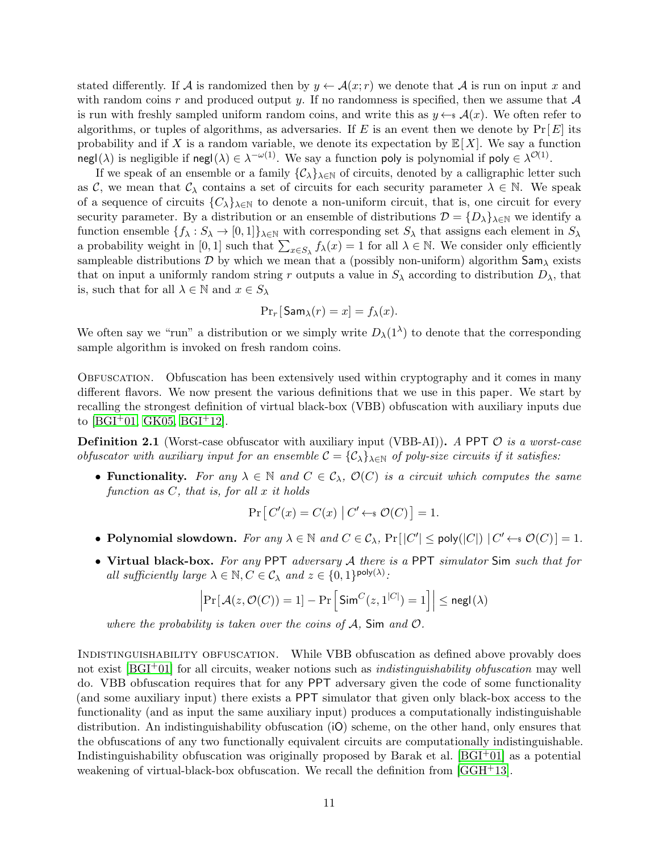<span id="page-10-1"></span>stated differently. If A is randomized then by  $y \leftarrow \mathcal{A}(x; r)$  we denote that A is run on input x and with random coins r and produced output y. If no randomness is specified, then we assume that  $A$ is run with freshly sampled uniform random coins, and write this as  $y \leftarrow s \mathcal{A}(x)$ . We often refer to algorithms, or tuples of algorithms, as adversaries. If E is an event then we denote by  $Pr[E]$  its probability and if X is a random variable, we denote its expectation by  $\mathbb{E}[X]$ . We say a function negl( $\lambda$ ) is negligible if negl( $\lambda$ )  $\in \lambda^{-\omega(1)}$ . We say a function poly is polynomial if poly  $\in \lambda^{\mathcal{O}(1)}$ .

If we speak of an ensemble or a family  $\{\mathcal{C}_\lambda\}_{\lambda\in\mathbb{N}}$  of circuits, denoted by a calligraphic letter such as C, we mean that  $\mathcal{C}_{\lambda}$  contains a set of circuits for each security parameter  $\lambda \in \mathbb{N}$ . We speak of a sequence of circuits  ${C_{\lambda}}_{\lambda \in \mathbb{N}}$  to denote a non-uniform circuit, that is, one circuit for every security parameter. By a distribution or an ensemble of distributions  $\mathcal{D} = \{D_\lambda\}_{\lambda \in \mathbb{N}}$  we identify a function ensemble  $\{f_\lambda: S_\lambda \to [0,1]\}_{\lambda \in \mathbb{N}}$  with corresponding set  $S_\lambda$  that assigns each element in  $S_\lambda$ a probability weight in [0, 1] such that  $\sum_{x \in S_\lambda} f_\lambda(x) = 1$  for all  $\lambda \in \mathbb{N}$ . We consider only efficiently sampleable distributions D by which we mean that a (possibly non-uniform) algorithm  $\mathsf{Sam}_\lambda$  exists that on input a uniformly random string r outputs a value in  $S_\lambda$  according to distribution  $D_\lambda$ , that is, such that for all  $\lambda \in \mathbb{N}$  and  $x \in S_{\lambda}$ 

$$
\Pr_r[\mathsf{Sam}_{\lambda}(r) = x] = f_{\lambda}(x).
$$

We often say we "run" a distribution or we simply write  $D_{\lambda}(1^{\lambda})$  to denote that the corresponding sample algorithm is invoked on fresh random coins.

Obfuscation. Obfuscation has been extensively used within cryptography and it comes in many different flavors. We now present the various definitions that we use in this paper. We start by recalling the strongest definition of virtual black-box (VBB) obfuscation with auxiliary inputs due to [\[BGI](#page-28-0)<sup>+</sup>01, [GK05,](#page-31-3) [BGI](#page-28-1)<sup>+</sup>12].

<span id="page-10-0"></span>**Definition 2.1** (Worst-case obfuscator with auxiliary input (VBB-AI)). A PPT  $\mathcal{O}$  is a worst-case obfuscator with auxiliary input for an ensemble  $C = \{C_{\lambda}\}_{{\lambda \in \mathbb{N}}}$  of poly-size circuits if it satisfies:

• Functionality. For any  $\lambda \in \mathbb{N}$  and  $C \in \mathcal{C}_{\lambda}$ ,  $\mathcal{O}(C)$  is a circuit which computes the same function as  $C$ , that is, for all  $x$  it holds

$$
\Pr[C'(x) = C(x) | C' \leftarrow \mathcal{O}(C)] = 1.
$$

- Polynomial slowdown. For any  $\lambda \in \mathbb{N}$  and  $C \in \mathcal{C}_{\lambda}$ ,  $Pr[|C'| \leq poly(|C|) | C' \leftarrow \mathcal{O}(C)] = 1$ .
- Virtual black-box. For any PPT adversary  $A$  there is a PPT simulator Sim such that for all sufficiently large  $\lambda \in \mathbb{N}, C \in \mathcal{C}_{\lambda}$  and  $z \in \{0,1\}^{\text{poly}(\lambda)}$ :

$$
\left|\Pr\left[\mathcal{A}(z,\mathcal{O}(C))=1\right]-\Pr\left[\mathsf{Sim}^C(z,1^{|C|})=1\right]\right|\leq \mathsf{negl}(\lambda)
$$

where the probability is taken over the coins of  $A$ ,  $\mathsf{Sim}$  and  $\mathcal{O}$ .

Indistinguishability obfuscation. While VBB obfuscation as defined above provably does not exist  $[{\rm BGI^+01}]$  for all circuits, weaker notions such as *indistinguishability obfuscation* may well do. VBB obfuscation requires that for any PPT adversary given the code of some functionality (and some auxiliary input) there exists a PPT simulator that given only black-box access to the functionality (and as input the same auxiliary input) produces a computationally indistinguishable distribution. An indistinguishability obfuscation (iO) scheme, on the other hand, only ensures that the obfuscations of any two functionally equivalent circuits are computationally indistinguishable. Indistinguishability obfuscation was originally proposed by Barak et al.  $[**BGI**<sup>+</sup>01]$  as a potential weakening of virtual-black-box obfuscation. We recall the definition from  $[GGH^+13]$  $[GGH^+13]$ .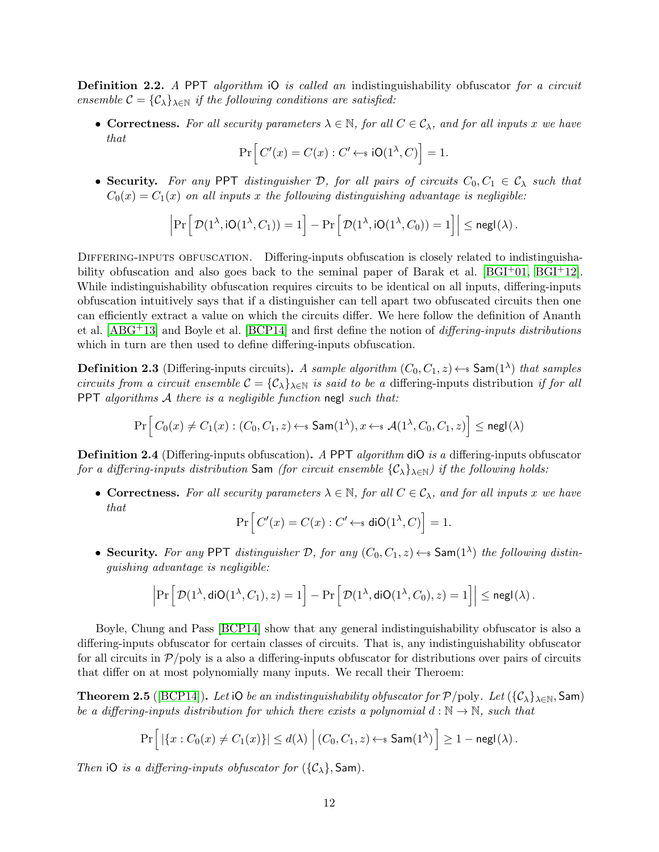<span id="page-11-1"></span>**Definition 2.2.** A PPT algorithm iO is called an indistinguishability obfuscator for a circuit ensemble  $C = \{C_{\lambda}\}_{{\lambda \in \mathbb{N}}}$  if the following conditions are satisfied:

• Correctness. For all security parameters  $\lambda \in \mathbb{N}$ , for all  $C \in \mathcal{C}_{\lambda}$ , and for all inputs x we have that

$$
\Pr\left[C'(x) = C(x) : C' \leftarrow \text{s iO}(1^{\lambda}, C)\right] = 1.
$$

• Security. For any PPT distinguisher D, for all pairs of circuits  $C_0, C_1 \in C_\lambda$  such that  $C_0(x) = C_1(x)$  on all inputs x the following distinguishing advantage is negligible:

$$
\left|\Pr\left[\left.\mathcal{D}(1^{\lambda}, \mathsf{iO}(1^{\lambda}, C_1))=1\right]-\Pr\left[\left.\mathcal{D}(1^{\lambda}, \mathsf{iO}(1^{\lambda}, C_0))=1\right]\right|\leq \mathsf{negl}(\lambda)\,.
$$

Differing-inputs obfuscation. Differing-inputs obfuscation is closely related to indistinguisha-bility obfuscation and also goes back to the seminal paper of Barak et al. [\[BGI](#page-28-0)+01, [BGI](#page-28-1)+12]. While indistinguishability obfuscation requires circuits to be identical on all inputs, differing-inputs obfuscation intuitively says that if a distinguisher can tell apart two obfuscated circuits then one can efficiently extract a value on which the circuits differ. We here follow the definition of Ananth et al.  $[ABG+13]$  $[ABG+13]$  and Boyle et al.  $[BCP14]$  and first define the notion of *differing-inputs distributions* which in turn are then used to define differing-inputs obfuscation.

**Definition 2.3** (Differing-inputs circuits). A sample algorithm  $(C_0, C_1, z) \leftarrow s$  Sam $(1^{\lambda})$  that samples circuits from a circuit ensemble  $C = \{C_{\lambda}\}_{\lambda \in \mathbb{N}}$  is said to be a differing-inputs distribution if for all PPT algorithms A there is a negligible function negl such that:

$$
\Pr\Big[C_0(x) \neq C_1(x) : (C_0, C_1, z) \leftarrow \text{Sam}(1^{\lambda}), x \leftarrow \text{A}(1^{\lambda}, C_0, C_1, z)\Big] \leq \text{negl}(\lambda)
$$

**Definition 2.4** (Differing-inputs obfuscation). A PPT algorithm diO is a differing-inputs obfuscator for a differing-inputs distribution Sam (for circuit ensemble  $\{\mathcal{C}_{\lambda}\}_{\lambda\in\mathbb{N}}$ ) if the following holds:

• Correctness. For all security parameters  $\lambda \in \mathbb{N}$ , for all  $C \in \mathcal{C}_{\lambda}$ , and for all inputs x we have that

$$
\Pr\left[C'(x) = C(x) : C' \leftarrow \text{si}(O(1^{\lambda}, C)\right] = 1.
$$

• Security. For any PPT distinguisher D, for any  $(C_0, C_1, z) \leftarrow s$  Sam $(1^{\lambda})$  the following distinguishing advantage is negligible:

$$
\left|\Pr\Big[\,\mathcal{D}(1^{\lambda},\text{diO}(1^{\lambda},C_1),z)=1\Big]-\Pr\Big[\,\mathcal{D}(1^{\lambda},\text{diO}(1^{\lambda},C_0),z)=1\Big]\right|\le {\mathsf{negl}}(\lambda)\,.
$$

Boyle, Chung and Pass [\[BCP14\]](#page-28-2) show that any general indistinguishability obfuscator is also a differing-inputs obfuscator for certain classes of circuits. That is, any indistinguishability obfuscator for all circuits in  $\mathcal{P}/poly$  is a also a differing-inputs obfuscator for distributions over pairs of circuits that differ on at most polynomially many inputs. We recall their Theroem:

<span id="page-11-0"></span>**Theorem 2.5** ([\[BCP14\]](#page-28-2)). Let iO be an indistinguishability obfuscator for  $\mathcal{P}/poly$ . Let  $(\{\mathcal{C}_\lambda\}_{\lambda\in\mathbb{N}},\mathsf{Sam})$ be a differing-inputs distribution for which there exists a polynomial  $d : \mathbb{N} \to \mathbb{N}$ , such that

$$
\Pr\Big[\left|\{x:C_0(x)\neq C_1(x)\}\right|\leq d(\lambda)\,\Big|\,(C_0,C_1,z)\leftarrow s\,\mathsf{Sam}(1^{\lambda})\Big]\geq 1-\mathsf{negl}(\lambda)\,.
$$

Then iO is a differing-inputs obfuscator for  $({C_{\lambda}})$ , Sam).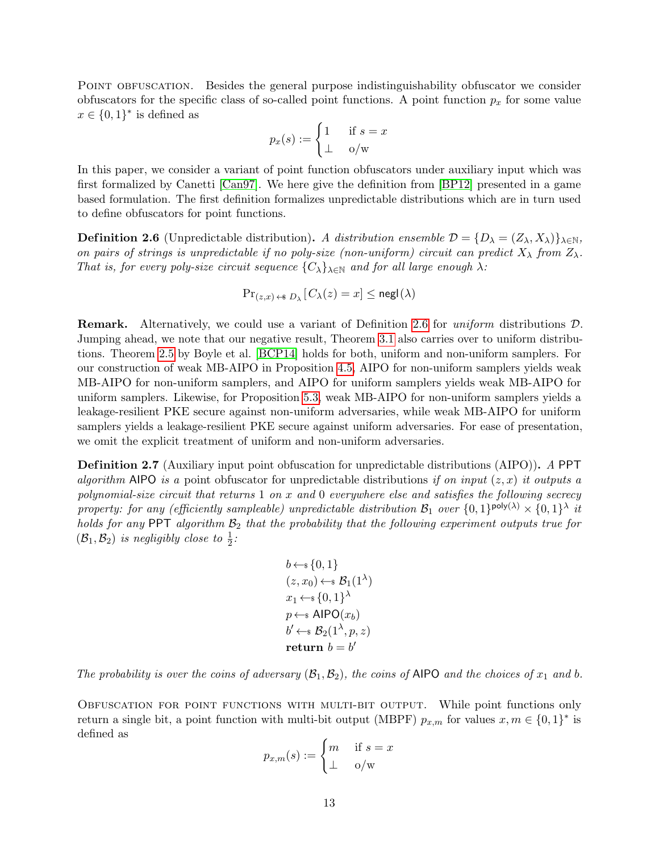<span id="page-12-1"></span>Point obfuscation. Besides the general purpose indistinguishability obfuscator we consider obfuscators for the specific class of so-called point functions. A point function  $p_x$  for some value  $x \in \{0,1\}^*$  is defined as

$$
p_x(s) := \begin{cases} 1 & \text{if } s = x \\ \perp & \text{o/w} \end{cases}
$$

In this paper, we consider a variant of point function obfuscators under auxiliary input which was first formalized by Canetti [\[Can97\]](#page-30-1). We here give the definition from [\[BP12\]](#page-29-0) presented in a game based formulation. The first definition formalizes unpredictable distributions which are in turn used to define obfuscators for point functions.

<span id="page-12-0"></span>**Definition 2.6** (Unpredictable distribution). A distribution ensemble  $\mathcal{D} = \{D_{\lambda} = (Z_{\lambda}, X_{\lambda})\}_{\lambda \in \mathbb{N}},$ on pairs of strings is unpredictable if no poly-size (non-uniform) circuit can predict  $X_\lambda$  from  $Z_\lambda$ . That is, for every poly-size circuit sequence  ${C_{\lambda}}_{\lambda\in\mathbb{N}}$  and for all large enough  $\lambda$ :

$$
\Pr_{(z,x)\leftrightarrow B_{\lambda}}[C_{\lambda}(z)=x]\leq \mathsf{negl}(\lambda)
$$

Remark. Alternatively, we could use a variant of Definition [2.6](#page-12-0) for uniform distributions D. Jumping ahead, we note that our negative result, Theorem [3.1](#page-15-0) also carries over to uniform distributions. Theorem [2.5](#page-11-0) by Boyle et al. [\[BCP14\]](#page-28-2) holds for both, uniform and non-uniform samplers. For our construction of weak MB-AIPO in Proposition [4.5,](#page-21-0) AIPO for non-uniform samplers yields weak MB-AIPO for non-uniform samplers, and AIPO for uniform samplers yields weak MB-AIPO for uniform samplers. Likewise, for Proposition [5.3,](#page-26-0) weak MB-AIPO for non-uniform samplers yields a leakage-resilient PKE secure against non-uniform adversaries, while weak MB-AIPO for uniform samplers yields a leakage-resilient PKE secure against uniform adversaries. For ease of presentation, we omit the explicit treatment of uniform and non-uniform adversaries.

<span id="page-12-2"></span>**Definition 2.7** (Auxiliary input point obfuscation for unpredictable distributions (AIPO)). A PPT algorithm AIPO is a point obfuscator for unpredictable distributions if on input  $(z, x)$  it outputs a polynomial-size circuit that returns 1 on x and 0 everywhere else and satisfies the following secrecy property: for any (efficiently sampleable) unpredictable distribution  $\mathcal{B}_1$  over  $\{0,1\}^{\text{poly}(\lambda)} \times \{0,1\}^{\lambda}$  it holds for any PPT algorithm  $\mathcal{B}_2$  that the probability that the following experiment outputs true for  $(\mathcal{B}_1, \mathcal{B}_2)$  is negligibly close to  $\frac{1}{2}$ :

$$
b \leftarrow s \{0, 1\}
$$
  
(z, x<sub>0</sub>)  $\leftarrow s$   $\mathcal{B}_1(1^{\lambda})$   
x<sub>1</sub> $\leftarrow s \{0, 1\}^{\lambda}$   
p  $\leftarrow s$  AIPO(x<sub>b</sub>)  
b'  $\leftarrow s$   $\mathcal{B}_2(1^{\lambda}, p, z)$   
return  $b = b'$ 

The probability is over the coins of adversary  $(\mathcal{B}_1, \mathcal{B}_2)$ , the coins of AIPO and the choices of  $x_1$  and b.

OBFUSCATION FOR POINT FUNCTIONS WITH MULTI-BIT OUTPUT. While point functions only return a single bit, a point function with multi-bit output (MBPF)  $p_{x,m}$  for values  $x, m \in \{0, 1\}^*$  is defined as

$$
p_{x,m}(s) := \begin{cases} m & \text{if } s = x \\ \perp & \text{o/w} \end{cases}
$$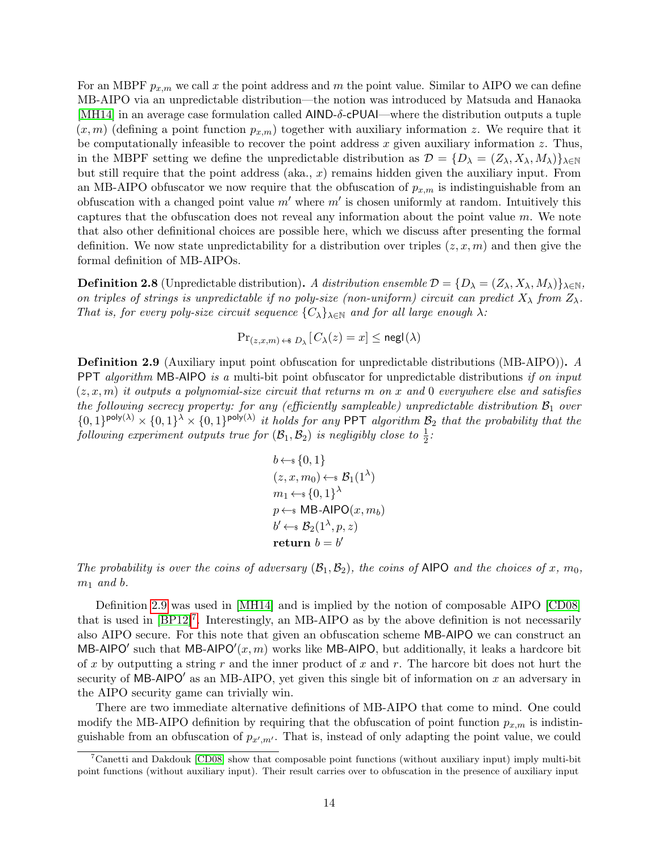<span id="page-13-2"></span>For an MBPF  $p_{x,m}$  we call x the point address and m the point value. Similar to AIPO we can define MB-AIPO via an unpredictable distribution—the notion was introduced by Matsuda and Hanaoka  $[MH14]$  in an average case formulation called  $AIND- $\delta$ -cPUAI—where the distribution outputs a tuple$  $(x, m)$  (defining a point function  $p_{x,m}$ ) together with auxiliary information z. We require that it be computationally infeasible to recover the point address  $x$  given auxiliary information  $z$ . Thus, in the MBPF setting we define the unpredictable distribution as  $\mathcal{D} = \{D_\lambda = (Z_\lambda, X_\lambda, M_\lambda)\}_{\lambda \in \mathbb{N}}$ but still require that the point address (aka.,  $x$ ) remains hidden given the auxiliary input. From an MB-AIPO obfuscator we now require that the obfuscation of  $p_{x,m}$  is indistinguishable from an obfuscation with a changed point value  $m'$  where  $m'$  is chosen uniformly at random. Intuitively this captures that the obfuscation does not reveal any information about the point value  $m$ . We note that also other definitional choices are possible here, which we discuss after presenting the formal definition. We now state unpredictability for a distribution over triples  $(z, x, m)$  and then give the formal definition of MB-AIPOs.

**Definition 2.8** (Unpredictable distribution). A distribution ensemble  $\mathcal{D} = \{D_\lambda = (Z_\lambda, X_\lambda, M_\lambda)\}_{\lambda \in \mathbb{N}}$ , on triples of strings is unpredictable if no poly-size (non-uniform) circuit can predict  $X_{\lambda}$  from  $Z_{\lambda}$ . That is, for every poly-size circuit sequence  $\{C_{\lambda}\}_{\lambda\in\mathbb{N}}$  and for all large enough  $\lambda$ :

$$
\mathrm{Pr}_{(z,x,m) \leftrightarrow^{\mathbf{s}} D_\lambda} \, [ \, C_\lambda(z) = x ] \leq {\mathsf{negl}}(\lambda)
$$

<span id="page-13-0"></span>**Definition 2.9** (Auxiliary input point obfuscation for unpredictable distributions (MB-AIPO)). A PPT algorithm MB-AIPO is a multi-bit point obfuscator for unpredictable distributions if on input  $(z, x, m)$  it outputs a polynomial-size circuit that returns m on x and 0 everywhere else and satisfies the following secrecy property: for any (efficiently sampleable) unpredictable distribution  $\mathcal{B}_1$  over  $\{0,1\}^{\text{poly}(\lambda)} \times \{0,1\}^{\lambda} \times \{0,1\}^{\text{poly}(\lambda)}$  it holds for any PPT algorithm  $\mathcal{B}_2$  that the probability that the following experiment outputs true for  $(\mathcal{B}_1, \mathcal{B}_2)$  is negligibly close to  $\frac{1}{2}$ :

$$
b \leftarrow \{0, 1\}
$$
  
(z, x, m<sub>0</sub>)  $\leftarrow$  s  $\mathcal{B}_1(1^{\lambda})$   
 $m_1 \leftarrow \{0, 1\}^{\lambda}$   
 $p \leftarrow$  s MB-AIPO(x, m<sub>b</sub>)  
 $b' \leftarrow$  s  $\mathcal{B}_2(1^{\lambda}, p, z)$   
return  $b = b'$ 

The probability is over the coins of adversary  $(\mathcal{B}_1, \mathcal{B}_2)$ , the coins of AIPO and the choices of x, m<sub>0</sub>,  $m_1$  and b.

Definition [2.9](#page-13-0) was used in [\[MH14\]](#page-32-0) and is implied by the notion of composable AIPO [\[CD08\]](#page-30-4) that is used in  $[BP12]^7$  $[BP12]^7$  $[BP12]^7$ . Interestingly, an MB-AIPO as by the above definition is not necessarily also AIPO secure. For this note that given an obfuscation scheme MB-AIPO we can construct an MB-AIPO' such that MB-AIPO' $(x, m)$  works like MB-AIPO, but additionally, it leaks a hardcore bit of x by outputting a string r and the inner product of x and r. The harcore bit does not hurt the security of MB-AIPO' as an MB-AIPO, yet given this single bit of information on  $x$  an adversary in the AIPO security game can trivially win.

There are two immediate alternative definitions of MB-AIPO that come to mind. One could modify the MB-AIPO definition by requiring that the obfuscation of point function  $p_{x,m}$  is indistinguishable from an obfuscation of  $p_{x',m'}$ . That is, instead of only adapting the point value, we could

<span id="page-13-1"></span><sup>7</sup>Canetti and Dakdouk [\[CD08\]](#page-30-4) show that composable point functions (without auxiliary input) imply multi-bit point functions (without auxiliary input). Their result carries over to obfuscation in the presence of auxiliary input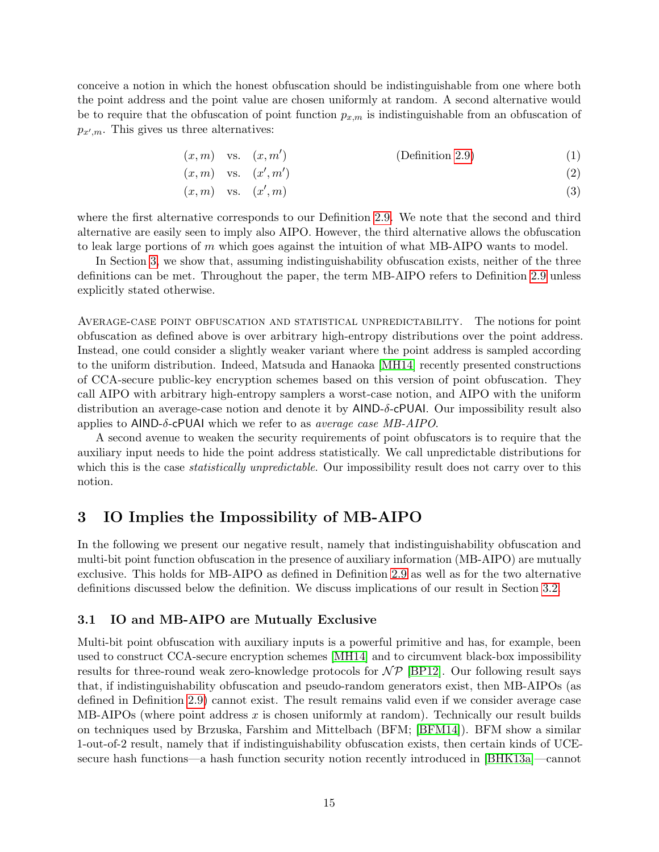<span id="page-14-2"></span>conceive a notion in which the honest obfuscation should be indistinguishable from one where both the point address and the point value are chosen uniformly at random. A second alternative would be to require that the obfuscation of point function  $p_{x,m}$  is indistinguishable from an obfuscation of  $p_{x',m}$ . This gives us three alternatives:

$$
(x,m) \quad \text{vs.} \quad (x,m') \tag{Definition 2.9}
$$

$$
(x,m) \quad \text{vs.} \quad (x',m') \tag{2}
$$

$$
(x,m) \quad \text{vs.} \quad (x',m) \tag{3}
$$

where the first alternative corresponds to our Definition [2.9.](#page-13-0) We note that the second and third alternative are easily seen to imply also AIPO. However, the third alternative allows the obfuscation to leak large portions of m which goes against the intuition of what MB-AIPO wants to model.

In Section [3,](#page-14-0) we show that, assuming indistinguishability obfuscation exists, neither of the three definitions can be met. Throughout the paper, the term MB-AIPO refers to Definition [2.9](#page-13-0) unless explicitly stated otherwise.

Average-case point obfuscation and statistical unpredictability. The notions for point obfuscation as defined above is over arbitrary high-entropy distributions over the point address. Instead, one could consider a slightly weaker variant where the point address is sampled according to the uniform distribution. Indeed, Matsuda and Hanaoka [\[MH14\]](#page-32-0) recently presented constructions of CCA-secure public-key encryption schemes based on this version of point obfuscation. They call AIPO with arbitrary high-entropy samplers a worst-case notion, and AIPO with the uniform distribution an average-case notion and denote it by AIND-δ-cPUAI. Our impossibility result also applies to  $AIND-<sub>o</sub>-cPUAI$  which we refer to as *average case MB-AIPO*.

A second avenue to weaken the security requirements of point obfuscators is to require that the auxiliary input needs to hide the point address statistically. We call unpredictable distributions for which this is the case *statistically unpredictable*. Our impossibility result does not carry over to this notion.

# <span id="page-14-0"></span>3 IO Implies the Impossibility of MB-AIPO

In the following we present our negative result, namely that indistinguishability obfuscation and multi-bit point function obfuscation in the presence of auxiliary information (MB-AIPO) are mutually exclusive. This holds for MB-AIPO as defined in Definition [2.9](#page-13-0) as well as for the two alternative definitions discussed below the definition. We discuss implications of our result in Section [3.2.](#page-18-0)

### <span id="page-14-1"></span>3.1 IO and MB-AIPO are Mutually Exclusive

Multi-bit point obfuscation with auxiliary inputs is a powerful primitive and has, for example, been used to construct CCA-secure encryption schemes [\[MH14\]](#page-32-0) and to circumvent black-box impossibility results for three-round weak zero-knowledge protocols for  $\mathcal{NP}$  [\[BP12\]](#page-29-0). Our following result says that, if indistinguishability obfuscation and pseudo-random generators exist, then MB-AIPOs (as defined in Definition [2.9\)](#page-13-0) cannot exist. The result remains valid even if we consider average case MB-AIPOs (where point address  $x$  is chosen uniformly at random). Technically our result builds on techniques used by Brzuska, Farshim and Mittelbach (BFM; [\[BFM14\]](#page-28-4)). BFM show a similar 1-out-of-2 result, namely that if indistinguishability obfuscation exists, then certain kinds of UCEsecure hash functions—a hash function security notion recently introduced in [\[BHK13a\]](#page-29-3)—cannot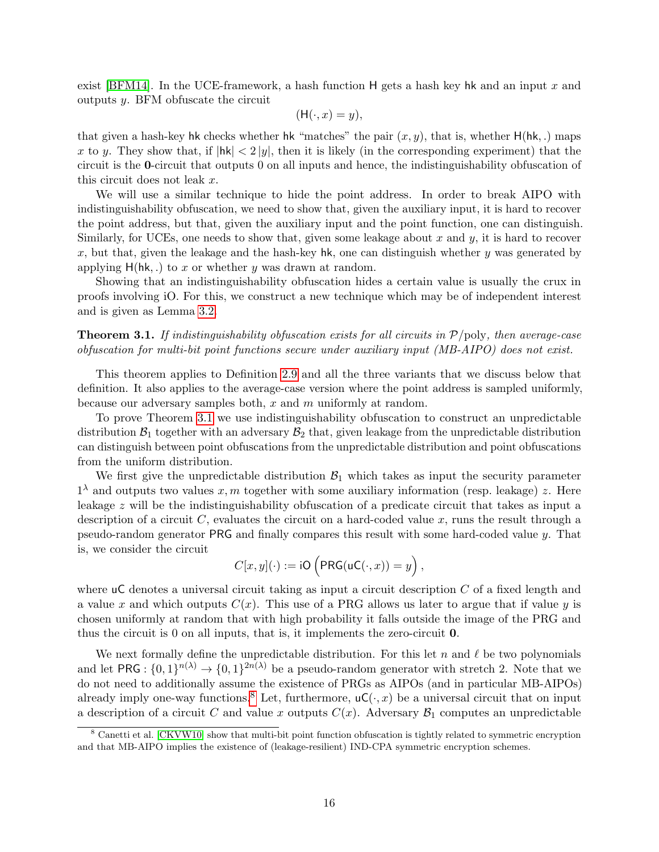<span id="page-15-2"></span>exist [\[BFM14\]](#page-28-4). In the UCE-framework, a hash function H gets a hash key hk and an input x and outputs y. BFM obfuscate the circuit

$$
(\mathsf{H}(\cdot,x)=y),
$$

that given a hash-key hk checks whether hk "matches" the pair  $(x, y)$ , that is, whether  $H(hk,.)$  maps x to y. They show that, if  $|h\mathbf{k}| < 2 |y|$ , then it is likely (in the corresponding experiment) that the circuit is the 0-circuit that outputs 0 on all inputs and hence, the indistinguishability obfuscation of this circuit does not leak x.

We will use a similar technique to hide the point address. In order to break AIPO with indistinguishability obfuscation, we need to show that, given the auxiliary input, it is hard to recover the point address, but that, given the auxiliary input and the point function, one can distinguish. Similarly, for UCEs, one needs to show that, given some leakage about x and y, it is hard to recover x, but that, given the leakage and the hash-key hk, one can distinguish whether y was generated by applying  $H(hk,.)$  to x or whether y was drawn at random.

Showing that an indistinguishability obfuscation hides a certain value is usually the crux in proofs involving iO. For this, we construct a new technique which may be of independent interest and is given as Lemma [3.2.](#page-16-0)

<span id="page-15-0"></span>**Theorem 3.1.** If indistinguishability obfuscation exists for all circuits in  $\mathcal{P}/poly$ , then average-case obfuscation for multi-bit point functions secure under auxiliary input (MB-AIPO) does not exist.

This theorem applies to Definition [2.9](#page-13-0) and all the three variants that we discuss below that definition. It also applies to the average-case version where the point address is sampled uniformly, because our adversary samples both, x and m uniformly at random.

To prove Theorem [3.1](#page-15-0) we use indistinguishability obfuscation to construct an unpredictable distribution  $\mathcal{B}_1$  together with an adversary  $\mathcal{B}_2$  that, given leakage from the unpredictable distribution can distinguish between point obfuscations from the unpredictable distribution and point obfuscations from the uniform distribution.

We first give the unpredictable distribution  $\mathcal{B}_1$  which takes as input the security parameter  $1^{\lambda}$  and outputs two values x, m together with some auxiliary information (resp. leakage) z. Here leakage z will be the indistinguishability obfuscation of a predicate circuit that takes as input a description of a circuit  $C$ , evaluates the circuit on a hard-coded value  $x$ , runs the result through a pseudo-random generator PRG and finally compares this result with some hard-coded value y. That is, we consider the circuit

$$
C[x,y](\cdot):=\mathsf{iO}\left(\mathsf{PRG}(\mathsf{uC}(\cdot,x))=y\right),
$$

where  $\mathsf{u}\mathsf{C}$  denotes a universal circuit taking as input a circuit description C of a fixed length and a value x and which outputs  $C(x)$ . This use of a PRG allows us later to argue that if value y is chosen uniformly at random that with high probability it falls outside the image of the PRG and thus the circuit is 0 on all inputs, that is, it implements the zero-circuit 0.

We next formally define the unpredictable distribution. For this let n and  $\ell$  be two polynomials and let PRG :  $\{0,1\}^{n(\lambda)} \to \{0,1\}^{2n(\lambda)}$  be a pseudo-random generator with stretch 2. Note that we do not need to additionally assume the existence of PRGs as AIPOs (and in particular MB-AIPOs) already imply one-way functions.<sup>[8](#page-15-1)</sup> Let, furthermore,  $\mathsf{uC}(\cdot,x)$  be a universal circuit that on input a description of a circuit C and value x outputs  $C(x)$ . Adversary  $\mathcal{B}_1$  computes an unpredictable

<span id="page-15-1"></span><sup>8</sup> Canetti et al. [\[CKVW10\]](#page-30-6) show that multi-bit point function obfuscation is tightly related to symmetric encryption and that MB-AIPO implies the existence of (leakage-resilient) IND-CPA symmetric encryption schemes.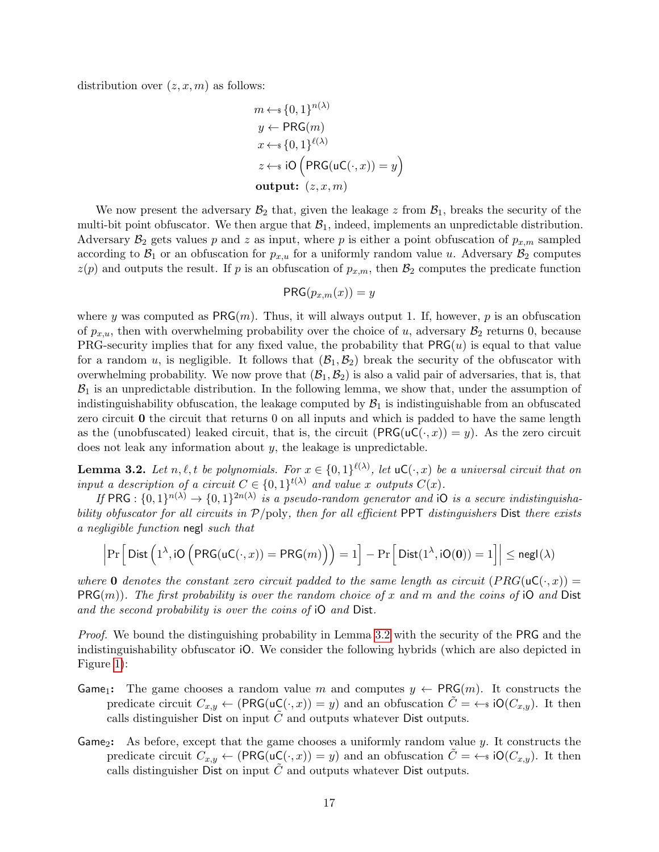distribution over  $(z, x, m)$  as follows:

$$
m \leftarrow s \{0, 1\}^{n(\lambda)}
$$
  
\n
$$
y \leftarrow \text{PRG}(m)
$$
  
\n
$$
x \leftarrow s \{0, 1\}^{\ell(\lambda)}
$$
  
\n
$$
z \leftarrow s \text{ iO}\left(\text{PRG}(uC(\cdot, x)) = y\right)
$$
  
\noutput:  $(z, x, m)$ 

We now present the adversary  $\mathcal{B}_2$  that, given the leakage z from  $\mathcal{B}_1$ , breaks the security of the multi-bit point obfuscator. We then argue that  $B_1$ , indeed, implements an unpredictable distribution. Adversary  $\mathcal{B}_2$  gets values p and z as input, where p is either a point obfuscation of  $p_{x,m}$  sampled according to  $\mathcal{B}_1$  or an obfuscation for  $p_{x,u}$  for a uniformly random value u. Adversary  $\mathcal{B}_2$  computes  $z(p)$  and outputs the result. If p is an obfuscation of  $p_{x,m}$ , then  $B_2$  computes the predicate function

$$
\mathsf{PRG}(p_{x,m}(x)) = y
$$

where y was computed as  $PRG(m)$ . Thus, it will always output 1. If, however, p is an obfuscation of  $p_{x,u}$ , then with overwhelming probability over the choice of u, adversary  $\mathcal{B}_2$  returns 0, because PRG-security implies that for any fixed value, the probability that  $PRG(u)$  is equal to that value for a random u, is negligible. It follows that  $(\mathcal{B}_1, \mathcal{B}_2)$  break the security of the obfuscator with overwhelming probability. We now prove that  $(\mathcal{B}_1, \mathcal{B}_2)$  is also a valid pair of adversaries, that is, that  $B_1$  is an unpredictable distribution. In the following lemma, we show that, under the assumption of indistinguishability obfuscation, the leakage computed by  $\mathcal{B}_1$  is indistinguishable from an obfuscated zero circuit 0 the circuit that returns 0 on all inputs and which is padded to have the same length as the (unobfuscated) leaked circuit, that is, the circuit  $(PRG(uC(\cdot, x)) = y)$ . As the zero circuit does not leak any information about  $y$ , the leakage is unpredictable.

<span id="page-16-0"></span>**Lemma 3.2.** Let  $n, \ell, t$  be polynomials. For  $x \in \{0,1\}^{\ell(\lambda)}$ , let  $\mathsf{uC}(\cdot, x)$  be a universal circuit that on input a description of a circuit  $C \in \{0,1\}^{t(\lambda)}$  and value x outputs  $C(x)$ .

If PRG :  $\{0,1\}^{n(\lambda)} \to \{0,1\}^{2n(\lambda)}$  is a pseudo-random generator and iO is a secure indistinguishability obfuscator for all circuits in  $P/\text{poly}$ , then for all efficient PPT distinguishers Dist there exists a negligible function negl such that

$$
\Big\vert {\rm Pr}\Big[{\rm Dist}\,\Big(1^\lambda, {\rm iO}\,\Big({\rm PRG}(uC(\cdot,x))={\rm PRG}(m)\Big)\Big)=1\Big]-{\rm Pr}\Big[{\rm Dist}(1^\lambda, {\rm iO(0)})=1\Big]\Big\vert\le {\rm negl}(\lambda)
$$

where **0** denotes the constant zero circuit padded to the same length as circuit  $(PRG(uC(\cdot, x)) =$  $PRG(m)$ . The first probability is over the random choice of x and m and the coins of iO and Dist and the second probability is over the coins of iO and Dist.

Proof. We bound the distinguishing probability in Lemma [3.2](#page-16-0) with the security of the PRG and the indistinguishability obfuscator iO. We consider the following hybrids (which are also depicted in Figure [1\)](#page-17-0):

- Game<sub>1</sub>: The game chooses a random value m and computes  $y \leftarrow PRG(m)$ . It constructs the predicate circuit  $C_{x,y} \leftarrow (\text{PRG}(uC(\cdot, x)) = y)$  and an obfuscation  $\tilde{C} = \leftarrow s \text{ iO}(C_{x,y})$ . It then calls distinguisher Dist on input  $C$  and outputs whatever Dist outputs.
- Game<sub>2</sub>: As before, except that the game chooses a uniformly random value y. It constructs the predicate circuit  $C_{x,y} \leftarrow (\text{PRG}(uC(\cdot, x)) = y)$  and an obfuscation  $\tilde{C} = \leftarrow s \text{ iO}(C_{x,y})$ . It then calls distinguisher Dist on input  $\tilde{C}$  and outputs whatever Dist outputs.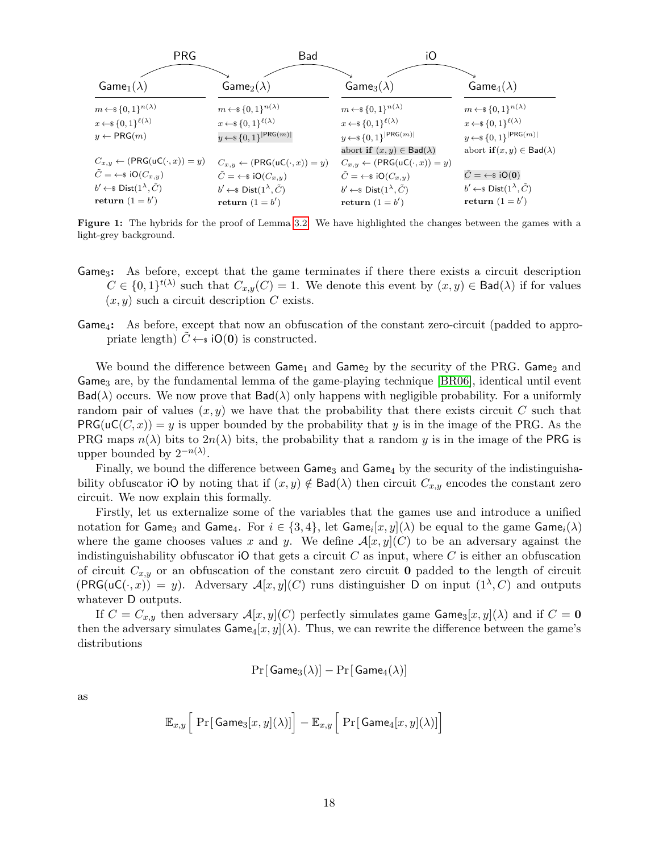<span id="page-17-1"></span><span id="page-17-0"></span>

| <b>PRG</b>                                             | Bad                                                          | iO                                                    |                                                        |
|--------------------------------------------------------|--------------------------------------------------------------|-------------------------------------------------------|--------------------------------------------------------|
| $\mathsf{Game}_1(\lambda)$                             | $\mathsf{Game}_2(\lambda)$                                   | $\mathsf{Game}_3(\lambda)$                            | Game $_4(\lambda)$                                     |
| $m \leftarrow \{0,1\}^{n(\lambda)}$                    | $m \leftarrow \{0,1\}^{n(\lambda)}$                          | $m \leftarrow \{0,1\}^{n(\lambda)}$                   | $m \leftarrow \{0,1\}^{n(\lambda)}$                    |
| $x \leftarrow s \{0,1\}^{\ell(\lambda)}$               | $x \leftarrow \{0,1\}^{\ell(\lambda)}$                       | $x \leftarrow \{0,1\}^{\ell(\lambda)}$                | $x \leftarrow \{0,1\}^{\ell(\lambda)}$                 |
| $y \leftarrow PRG(m)$                                  | $y \leftarrow\mathcal{S} \{0,1\}^{ \mathsf{PRG}(m) }$        | $y \leftarrow\$ {0,1\}^{ {\sf PRG}(m) }               | $y \leftarrow\$ {0,1\}^{ \mathsf{PRG}(m) }             |
|                                                        |                                                              | abort if $(x, y) \in \text{Bad}(\lambda)$             | abort $\textbf{if}(x, y) \in \text{Bad}(\lambda)$      |
| $C_{x,y} \leftarrow (\textsf{PRG}(uC(\cdot,x)) = y)$   | $C_{x,y} \leftarrow (\textsf{PRG}(uC(\cdot,x)) = y)$         | $C_{x,y} \leftarrow (\textsf{PRG}(uC(\cdot,x)) = y)$  |                                                        |
| $\tilde{C} = \leftarrow$ s iO $(C_{x,y})$              | $\tilde{C} = \leftarrow$ s iO $(C_{x,y})$                    | $\tilde{C} = \leftarrow$ s iO $(C_{x,y})$             | $C = \leftarrow$ s iO(0)                               |
| $b' \leftarrow \$ \text{Dist}(1^{\lambda}, \tilde{C})$ | $b' \leftarrow \text{S} \text{Dist}(1^{\lambda}, \tilde{C})$ | $b' \leftarrow \text{S Dist}(1^{\lambda}, \tilde{C})$ | $b' \leftarrow \$ \text{Dist}(1^{\lambda}, \tilde{C})$ |
| return $(1=b')$                                        | return $(1=b')$                                              | return $(1=b')$                                       | return $(1=b')$                                        |

Figure 1: The hybrids for the proof of Lemma [3.2.](#page-16-0) We have highlighted the changes between the games with a light-grey background.

- Game3: As before, except that the game terminates if there there exists a circuit description  $C \in \{0,1\}^{t(\lambda)}$  such that  $C_{x,y}(C) = 1$ . We denote this event by  $(x, y) \in \text{Bad}(\lambda)$  if for values  $(x, y)$  such a circuit description C exists.
- Game4: As before, except that now an obfuscation of the constant zero-circuit (padded to appropriate length)  $C \leftarrow s \mathsf{iO}(\mathbf{0})$  is constructed.

We bound the difference between  $Game_1$  and  $Game_2$  by the security of the PRG.  $Game_2$  and Game<sub>3</sub> are, by the fundamental lemma of the game-playing technique  $[BR06]$ , identical until event  $Bad(\lambda)$  occurs. We now prove that  $Bad(\lambda)$  only happens with negligible probability. For a uniformly random pair of values  $(x, y)$  we have that the probability that there exists circuit C such that  $PRG(uC(C, x)) = y$  is upper bounded by the probability that y is in the image of the PRG. As the PRG maps  $n(\lambda)$  bits to  $2n(\lambda)$  bits, the probability that a random y is in the image of the PRG is upper bounded by  $2^{-n(\lambda)}$ .

Finally, we bound the difference between  $\mathsf{Game}_3$  and  $\mathsf{Game}_4$  by the security of the indistinguishability obfuscator iO by noting that if  $(x, y) \notin \text{Bad}(\lambda)$  then circuit  $C_{x,y}$  encodes the constant zero circuit. We now explain this formally.

Firstly, let us externalize some of the variables that the games use and introduce a unified notation for  $\mathsf{Game}_3$  and  $\mathsf{Game}_4$ . For  $i \in \{3,4\},$  let  $\mathsf{Game}_i[x,y](\lambda)$  be equal to the game  $\mathsf{Game}_i(\lambda)$ where the game chooses values x and y. We define  $\mathcal{A}[x, y](C)$  to be an adversary against the indistinguishability obfuscator iO that gets a circuit  $C$  as input, where  $C$  is either an obfuscation of circuit  $C_{x,y}$  or an obfuscation of the constant zero circuit **0** padded to the length of circuit  $(PRG(uC(\cdot, x)) = y)$ . Adversary  $\mathcal{A}[x, y](C)$  runs distinguisher D on input  $(1^{\lambda}, C)$  and outputs whatever D outputs.

If  $C = C_{x,y}$  then adversary  $\mathcal{A}[x,y](C)$  perfectly simulates game Game<sub>3</sub>[x, y]( $\lambda$ ) and if  $C = 0$ then the adversary simulates  $\text{Game}_4[x, y](\lambda)$ . Thus, we can rewrite the difference between the game's distributions

$$
\Pr[\mathsf{Game}_3(\lambda)] - \Pr[\mathsf{Game}_4(\lambda)]
$$

as

$$
\mathbb{E}_{x,y}\Big[\Pr\!\big[\mathsf{Game}_3[x,y](\lambda)\big]\!\Big] - \mathbb{E}_{x,y}\Big[\Pr\!\big[\mathsf{Game}_4[x,y](\lambda)\big]\!\Big]
$$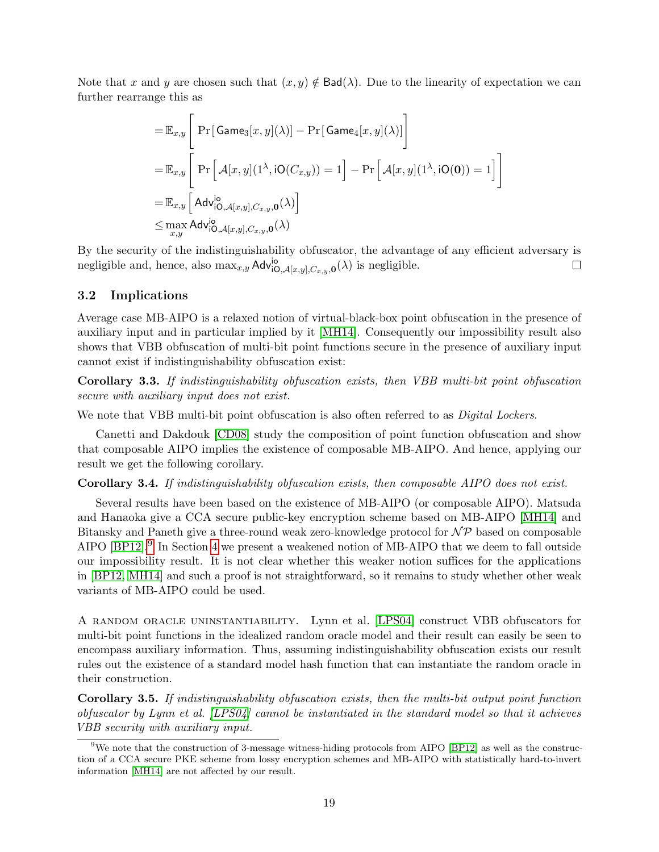<span id="page-18-2"></span>Note that x and y are chosen such that  $(x, y) \notin \text{Bad}(\lambda)$ . Due to the linearity of expectation we can further rearrange this as

$$
= \mathbb{E}_{x,y} \left[ \Pr \left[ \text{Game}_3[x, y](\lambda) \right] - \Pr \left[ \text{Game}_4[x, y](\lambda) \right] \right]
$$
  
\n
$$
= \mathbb{E}_{x,y} \left[ \Pr \left[ \mathcal{A}[x, y](1^{\lambda}, \text{iO}(C_{x,y})) = 1 \right] - \Pr \left[ \mathcal{A}[x, y](1^{\lambda}, \text{iO}(0)) = 1 \right] \right]
$$
  
\n
$$
= \mathbb{E}_{x,y} \left[ \text{Adv}_{\text{IO}, \mathcal{A}[x,y], C_{x,y}, \text{O}}^{\text{io}}(\lambda) \right]
$$
  
\n
$$
\leq \max_{x,y} \text{Adv}_{\text{IO}, \mathcal{A}[x,y], C_{x,y}, \text{O}}^{\text{io}}(\lambda)
$$

By the security of the indistinguishability obfuscator, the advantage of any efficient adversary is negligible and, hence, also  $\max_{x,y} \mathsf{Adv}_{\mathsf{IO},\mathcal{A}[x,y],C_{x,y},\mathbf{0}}^{\mathsf{io}}(\lambda)$  is negligible.  $\Box$ 

#### <span id="page-18-0"></span>3.2 Implications

Average case MB-AIPO is a relaxed notion of virtual-black-box point obfuscation in the presence of auxiliary input and in particular implied by it [\[MH14\]](#page-32-0). Consequently our impossibility result also shows that VBB obfuscation of multi-bit point functions secure in the presence of auxiliary input cannot exist if indistinguishability obfuscation exist:

Corollary 3.3. If indistinguishability obfuscation exists, then VBB multi-bit point obfuscation secure with auxiliary input does not exist.

We note that VBB multi-bit point obfuscation is also often referred to as *Digital Lockers*.

Canetti and Dakdouk [\[CD08\]](#page-30-4) study the composition of point function obfuscation and show that composable AIPO implies the existence of composable MB-AIPO. And hence, applying our result we get the following corollary.

Corollary 3.4. If indistinguishability obfuscation exists, then composable AIPO does not exist.

Several results have been based on the existence of MB-AIPO (or composable AIPO). Matsuda and Hanaoka give a CCA secure public-key encryption scheme based on MB-AIPO [\[MH14\]](#page-32-0) and Bitansky and Paneth give a three-round weak zero-knowledge protocol for  $\mathcal{NP}$  based on composable AIPO [\[BP12\]](#page-29-0).<sup>[9](#page-18-1)</sup> In Section [4](#page-19-1) we present a weakened notion of MB-AIPO that we deem to fall outside our impossibility result. It is not clear whether this weaker notion suffices for the applications in [\[BP12,](#page-29-0) [MH14\]](#page-32-0) and such a proof is not straightforward, so it remains to study whether other weak variants of MB-AIPO could be used.

A random oracle uninstantiability. Lynn et al. [\[LPS04\]](#page-32-4) construct VBB obfuscators for multi-bit point functions in the idealized random oracle model and their result can easily be seen to encompass auxiliary information. Thus, assuming indistinguishability obfuscation exists our result rules out the existence of a standard model hash function that can instantiate the random oracle in their construction.

Corollary 3.5. If indistinguishability obfuscation exists, then the multi-bit output point function obfuscator by Lynn et al. [\[LPS04\]](#page-32-4) cannot be instantiated in the standard model so that it achieves VBB security with auxiliary input.

<span id="page-18-1"></span><sup>&</sup>lt;sup>9</sup>We note that the construction of 3-message witness-hiding protocols from AIPO [\[BP12\]](#page-29-0) as well as the construction of a CCA secure PKE scheme from lossy encryption schemes and MB-AIPO with statistically hard-to-invert information [\[MH14\]](#page-32-0) are not affected by our result.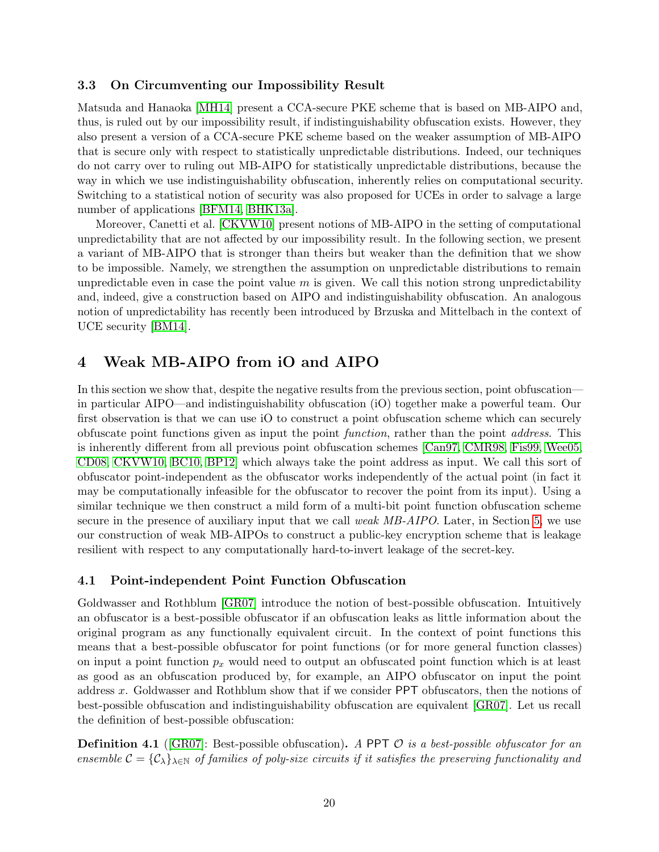## <span id="page-19-3"></span><span id="page-19-0"></span>3.3 On Circumventing our Impossibility Result

Matsuda and Hanaoka [\[MH14\]](#page-32-0) present a CCA-secure PKE scheme that is based on MB-AIPO and, thus, is ruled out by our impossibility result, if indistinguishability obfuscation exists. However, they also present a version of a CCA-secure PKE scheme based on the weaker assumption of MB-AIPO that is secure only with respect to statistically unpredictable distributions. Indeed, our techniques do not carry over to ruling out MB-AIPO for statistically unpredictable distributions, because the way in which we use indistinguishability obfuscation, inherently relies on computational security. Switching to a statistical notion of security was also proposed for UCEs in order to salvage a large number of applications [\[BFM14,](#page-28-4) [BHK13a\]](#page-29-3).

Moreover, Canetti et al. [\[CKVW10\]](#page-30-6) present notions of MB-AIPO in the setting of computational unpredictability that are not affected by our impossibility result. In the following section, we present a variant of MB-AIPO that is stronger than theirs but weaker than the definition that we show to be impossible. Namely, we strengthen the assumption on unpredictable distributions to remain unpredictable even in case the point value  $m$  is given. We call this notion strong unpredictability and, indeed, give a construction based on AIPO and indistinguishability obfuscation. An analogous notion of unpredictability has recently been introduced by Brzuska and Mittelbach in the context of UCE security [\[BM14\]](#page-29-2).

# <span id="page-19-1"></span>4 Weak MB-AIPO from iO and AIPO

In this section we show that, despite the negative results from the previous section, point obfuscation in particular AIPO—and indistinguishability obfuscation (iO) together make a powerful team. Our first observation is that we can use iO to construct a point obfuscation scheme which can securely obfuscate point functions given as input the point function, rather than the point address. This is inherently different from all previous point obfuscation schemes [\[Can97,](#page-30-1) [CMR98,](#page-30-2) [Fis99,](#page-30-3) [Wee05,](#page-33-1) [CD08,](#page-30-4) [CKVW10,](#page-30-6) [BC10,](#page-27-0) [BP12\]](#page-29-0) which always take the point address as input. We call this sort of obfuscator point-independent as the obfuscator works independently of the actual point (in fact it may be computationally infeasible for the obfuscator to recover the point from its input). Using a similar technique we then construct a mild form of a multi-bit point function obfuscation scheme secure in the presence of auxiliary input that we call *weak MB-AIPO*. Later, in Section [5,](#page-25-0) we use our construction of weak MB-AIPOs to construct a public-key encryption scheme that is leakage resilient with respect to any computationally hard-to-invert leakage of the secret-key.

## <span id="page-19-2"></span>4.1 Point-independent Point Function Obfuscation

Goldwasser and Rothblum [\[GR07\]](#page-31-4) introduce the notion of best-possible obfuscation. Intuitively an obfuscator is a best-possible obfuscator if an obfuscation leaks as little information about the original program as any functionally equivalent circuit. In the context of point functions this means that a best-possible obfuscator for point functions (or for more general function classes) on input a point function  $p_x$  would need to output an obfuscated point function which is at least as good as an obfuscation produced by, for example, an AIPO obfuscator on input the point address x. Goldwasser and Rothblum show that if we consider PPT obfuscators, then the notions of best-possible obfuscation and indistinguishability obfuscation are equivalent [\[GR07\]](#page-31-4). Let us recall the definition of best-possible obfuscation:

**Definition 4.1** ([\[GR07\]](#page-31-4): Best-possible obfuscation). A PPT  $\mathcal{O}$  is a best-possible obfuscator for an ensemble  $C = \{C_{\lambda}\}_{{\lambda}\in\mathbb{N}}$  of families of poly-size circuits if it satisfies the preserving functionality and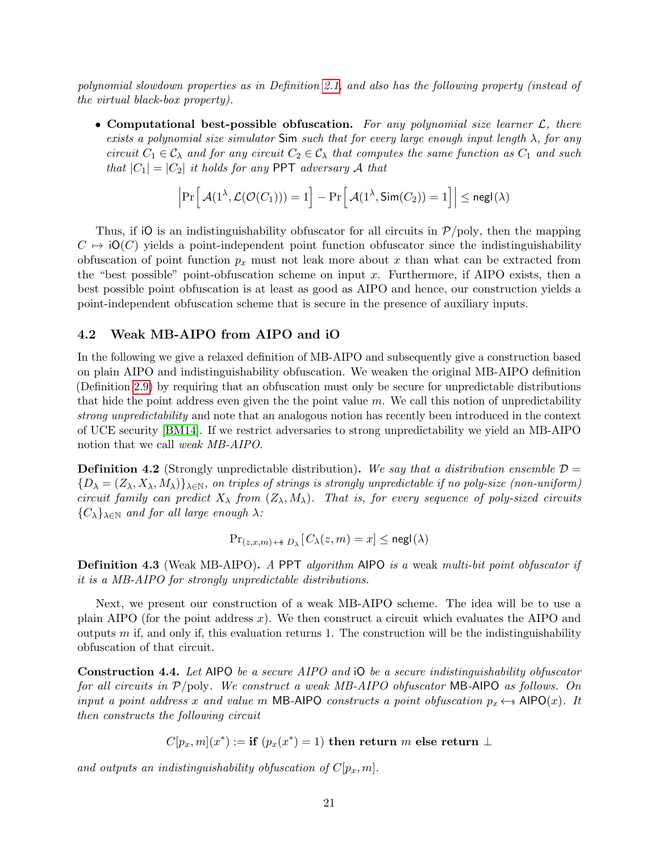<span id="page-20-4"></span>polynomial slowdown properties as in Definition [2.1,](#page-10-0) and also has the following property (instead of the virtual black-box property).

• Computational best-possible obfuscation. For any polynomial size learner  $\mathcal{L}$ , there exists a polynomial size simulator Sim such that for every large enough input length  $\lambda$ , for any circuit  $C_1 \in \mathcal{C}_{\lambda}$  and for any circuit  $C_2 \in \mathcal{C}_{\lambda}$  that computes the same function as  $C_1$  and such that  $|C_1| = |C_2|$  it holds for any PPT adversary A that

$$
\left|\Pr\left[\mathcal{A}(1^{\lambda}, \mathcal{L}(\mathcal{O}(C_1))) = 1\right] - \Pr\left[\mathcal{A}(1^{\lambda}, \mathsf{Sim}(C_2)) = 1\right]\right| \le \mathsf{negl}(\lambda)
$$

Thus, if iO is an indistinguishability obfuscator for all circuits in  $\mathcal{P}/poly$ , then the mapping  $C \mapsto iO(C)$  yields a point-independent point function obfuscator since the indistinguishability obfuscation of point function  $p_x$  must not leak more about x than what can be extracted from the "best possible" point-obfuscation scheme on input x. Furthermore, if AIPO exists, then a best possible point obfuscation is at least as good as AIPO and hence, our construction yields a point-independent obfuscation scheme that is secure in the presence of auxiliary inputs.

### <span id="page-20-0"></span>4.2 Weak MB-AIPO from AIPO and iO

In the following we give a relaxed definition of MB-AIPO and subsequently give a construction based on plain AIPO and indistinguishability obfuscation. We weaken the original MB-AIPO definition (Definition [2.9\)](#page-13-0) by requiring that an obfuscation must only be secure for unpredictable distributions that hide the point address even given the the point value  $m$ . We call this notion of unpredictability strong unpredictability and note that an analogous notion has recently been introduced in the context of UCE security [\[BM14\]](#page-29-2). If we restrict adversaries to strong unpredictability we yield an MB-AIPO notion that we call weak MB-AIPO.

<span id="page-20-1"></span>**Definition 4.2** (Strongly unpredictable distribution). We say that a distribution ensemble  $D =$  ${D_\lambda = (Z_\lambda, X_\lambda, M_\lambda)}_{\lambda \in \mathbb{N}}$ , on triples of strings is strongly unpredictable if no poly-size (non-uniform) circuit family can predict  $X_{\lambda}$  from  $(Z_{\lambda}, M_{\lambda})$ . That is, for every sequence of poly-sized circuits  ${C_{\lambda}}_{\lambda \in \mathbb{N}}$  and for all large enough  $\lambda$ :

$$
\Pr_{(z,x,m)\leftrightarrow B} D_{\lambda}[C_{\lambda}(z,m) = x] \le \mathsf{negl}(\lambda)
$$

<span id="page-20-3"></span>**Definition 4.3** (Weak MB-AIPO). A PPT algorithm AIPO is a weak multi-bit point obfuscator if it is a MB-AIPO for strongly unpredictable distributions.

Next, we present our construction of a weak MB-AIPO scheme. The idea will be to use a plain AIPO (for the point address x). We then construct a circuit which evaluates the AIPO and outputs m if, and only if, this evaluation returns 1. The construction will be the indistinguishability obfuscation of that circuit.

<span id="page-20-2"></span>Construction 4.4. Let AIPO be a secure AIPO and iO be a secure indistinguishability obfuscator for all circuits in  $P/\text{poly}$ . We construct a weak MB-AIPO obfuscator MB-AIPO as follows. On input a point address x and value m MB-AIPO constructs a point obfuscation  $p_x \leftarrow$  AIPO(x). It then constructs the following circuit

 $C[p_x, m](x^*) := \textbf{if} \, (p_x(x^*) = 1) \textbf{ then return } m \textbf{ else return } \bot$ 

and outputs an indistinguishability obfuscation of  $C[p_x, m]$ .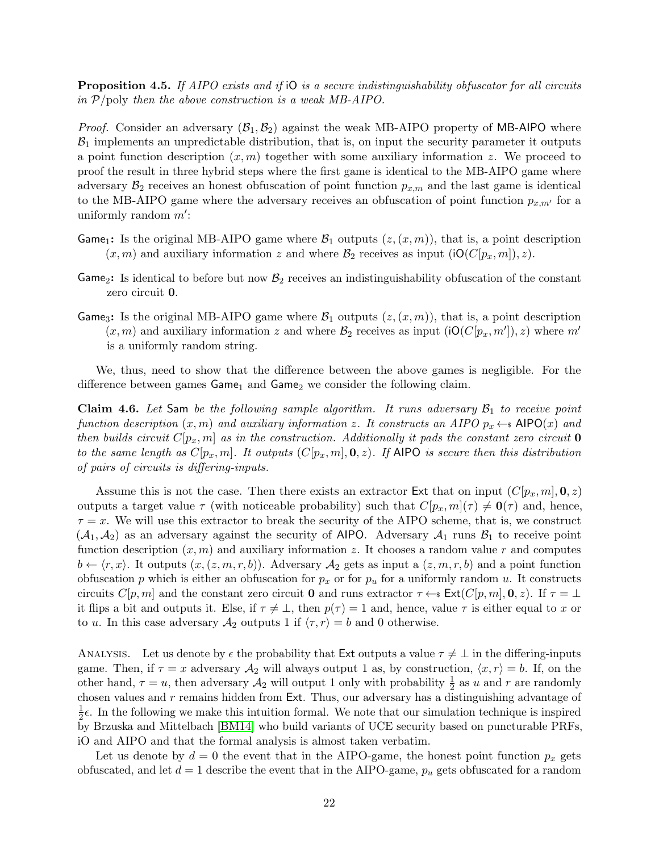<span id="page-21-2"></span><span id="page-21-0"></span>**Proposition 4.5.** If AIPO exists and if iO is a secure indistinguishability obfuscator for all circuits in  $P$ /poly then the above construction is a weak MB-AIPO.

*Proof.* Consider an adversary  $(\mathcal{B}_1, \mathcal{B}_2)$  against the weak MB-AIPO property of MB-AIPO where  $\mathcal{B}_1$  implements an unpredictable distribution, that is, on input the security parameter it outputs a point function description  $(x, m)$  together with some auxiliary information z. We proceed to proof the result in three hybrid steps where the first game is identical to the MB-AIPO game where adversary  $\mathcal{B}_2$  receives an honest obfuscation of point function  $p_{x,m}$  and the last game is identical to the MB-AIPO game where the adversary receives an obfuscation of point function  $p_{x,m'}$  for a uniformly random  $m'$ :

- Game<sub>1</sub>: Is the original MB-AIPO game where  $\mathcal{B}_1$  outputs  $(z,(x,m))$ , that is, a point description  $(x, m)$  and auxiliary information z and where  $\mathcal{B}_2$  receives as input  $(iO(C[p_x, m]), z)$ .
- **Game**<sub>2</sub>: Is identical to before but now  $\mathcal{B}_2$  receives an indistinguishability obfuscation of the constant zero circuit 0.
- Game<sub>3</sub>: Is the original MB-AIPO game where  $\mathcal{B}_1$  outputs  $(z,(x,m))$ , that is, a point description  $(x, m)$  and auxiliary information z and where  $\mathcal{B}_2$  receives as input  $(\mathsf{i} \mathsf{O}(C[p_x, m'])$ , z) where m' is a uniformly random string.

We, thus, need to show that the difference between the above games is negligible. For the difference between games  $Game_1$  and  $Game_2$  we consider the following claim.

<span id="page-21-1"></span>**Claim 4.6.** Let Sam be the following sample algorithm. It runs adversary  $\mathcal{B}_1$  to receive point function description  $(x, m)$  and auxiliary information z. It constructs an AIPO  $p_x \leftarrow$  AIPO(x) and then builds circuit  $C[p_x, m]$  as in the construction. Additionally it pads the constant zero circuit **0** to the same length as  $C[p_x, m]$ . It outputs  $(C[p_x, m], 0, z)$ . If AIPO is secure then this distribution of pairs of circuits is differing-inputs.

Assume this is not the case. Then there exists an extractor Ext that on input  $(C[p_x, m], 0, z)$ outputs a target value  $\tau$  (with noticeable probability) such that  $C[p_x, m](\tau) \neq \mathbf{0}(\tau)$  and, hence,  $\tau = x$ . We will use this extractor to break the security of the AIPO scheme, that is, we construct  $(\mathcal{A}_1, \mathcal{A}_2)$  as an adversary against the security of AIPO. Adversary  $\mathcal{A}_1$  runs  $\mathcal{B}_1$  to receive point function description  $(x, m)$  and auxiliary information z. It chooses a random value r and computes  $b \leftarrow \langle r, x \rangle$ . It outputs  $(x,(z, m, r, b))$ . Adversary  $\mathcal{A}_2$  gets as input a  $(z, m, r, b)$  and a point function obfuscation p which is either an obfuscation for  $p_x$  or for  $p_u$  for a uniformly random u. It constructs circuits  $C[p, m]$  and the constant zero circuit **0** and runs extractor  $\tau \leftarrow s$  Ext $(C[p, m], 0, z)$ . If  $\tau = \bot$ it flips a bit and outputs it. Else, if  $\tau \neq \bot$ , then  $p(\tau) = 1$  and, hence, value  $\tau$  is either equal to x or to u. In this case adversary  $A_2$  outputs 1 if  $\langle \tau, r \rangle = b$  and 0 otherwise.

ANALYSIS. Let us denote by  $\epsilon$  the probability that Ext outputs a value  $\tau \neq \bot$  in the differing-inputs game. Then, if  $\tau = x$  adversary  $\mathcal{A}_2$  will always output 1 as, by construction,  $\langle x, r \rangle = b$ . If, on the other hand,  $\tau = u$ , then adversary  $\mathcal{A}_2$  will output 1 only with probability  $\frac{1}{2}$  as u and r are randomly chosen values and r remains hidden from Ext. Thus, our adversary has a distinguishing advantage of 1  $\frac{1}{2}\epsilon$ . In the following we make this intuition formal. We note that our simulation technique is inspired by Brzuska and Mittelbach [\[BM14\]](#page-29-2) who build variants of UCE security based on puncturable PRFs, iO and AIPO and that the formal analysis is almost taken verbatim.

Let us denote by  $d = 0$  the event that in the AIPO-game, the honest point function  $p_x$  gets obfuscated, and let  $d = 1$  describe the event that in the AIPO-game,  $p_u$  gets obfuscated for a random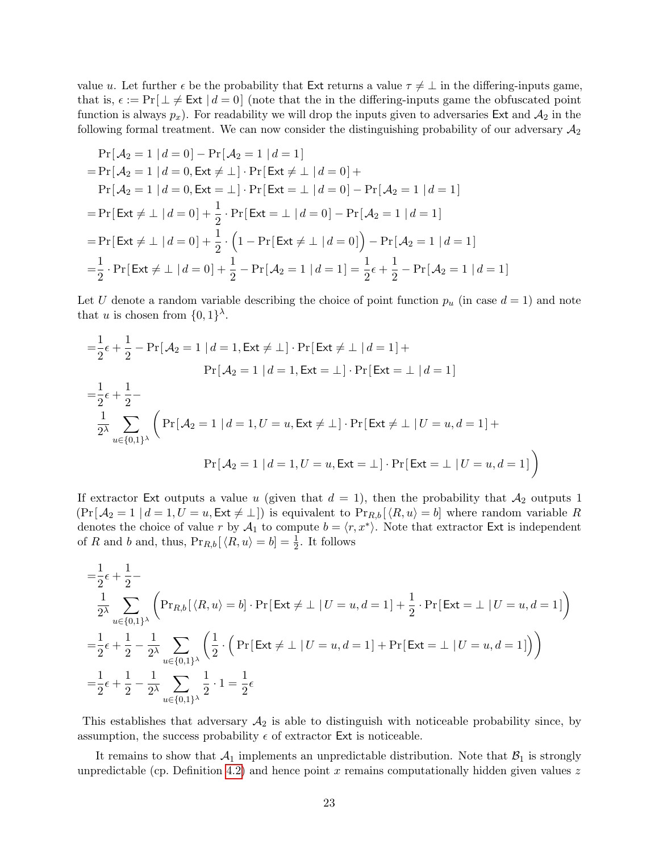value u. Let further  $\epsilon$  be the probability that Ext returns a value  $\tau \neq \bot$  in the differing-inputs game, that is,  $\epsilon := \Pr[\bot \neq \text{Ext} \mid d = 0]$  (note that the in the differing-inputs game the obfuscated point function is always  $p_x$ ). For readability we will drop the inputs given to adversaries Ext and  $\mathcal{A}_2$  in the following formal treatment. We can now consider the distinguishing probability of our adversary  $\mathcal{A}_2$ 

$$
\Pr[A_2 = 1 | d = 0] - \Pr[A_2 = 1 | d = 1]
$$
  
= 
$$
\Pr[A_2 = 1 | d = 0, \text{Ext} \neq \bot] \cdot \Pr[\text{Ext} \neq \bot | d = 0] +
$$
  

$$
\Pr[A_2 = 1 | d = 0, \text{Ext} = \bot] \cdot \Pr[\text{Ext} = \bot | d = 0] - \Pr[A_2 = 1 | d = 1]
$$
  
= 
$$
\Pr[\text{Ext} \neq \bot | d = 0] + \frac{1}{2} \cdot \Pr[\text{Ext} = \bot | d = 0] - \Pr[A_2 = 1 | d = 1]
$$
  
= 
$$
\Pr[\text{Ext} \neq \bot | d = 0] + \frac{1}{2} \cdot \left(1 - \Pr[\text{Ext} \neq \bot | d = 0]\right) - \Pr[A_2 = 1 | d = 1]
$$
  
= 
$$
\frac{1}{2} \cdot \Pr[\text{Ext} \neq \bot | d = 0] + \frac{1}{2} - \Pr[A_2 = 1 | d = 1] = \frac{1}{2} \epsilon + \frac{1}{2} - \Pr[A_2 = 1 | d = 1]
$$

Let U denote a random variable describing the choice of point function  $p_u$  (in case  $d = 1$ ) and note that u is chosen from  $\{0,1\}^{\lambda}$ .

$$
= \frac{1}{2}\epsilon + \frac{1}{2} - \Pr[A_2 = 1 | d = 1, \text{Ext} \neq \bot] \cdot \Pr[\text{Ext} \neq \bot | d = 1] +
$$
  
\n
$$
\Pr[A_2 = 1 | d = 1, \text{Ext} = \bot] \cdot \Pr[\text{Ext} = \bot | d = 1]
$$
  
\n
$$
= \frac{1}{2}\epsilon + \frac{1}{2} -
$$
  
\n
$$
\frac{1}{2^{\lambda}} \sum_{u \in \{0,1\}^{\lambda}} \left( \Pr[A_2 = 1 | d = 1, U = u, \text{Ext} \neq \bot] \cdot \Pr[\text{Ext} \neq \bot | U = u, d = 1] +
$$
  
\n
$$
\Pr[A_2 = 1 | d = 1, U = u, \text{Ext} = \bot] \cdot \Pr[\text{Ext} = \bot | U = u, d = 1]
$$

If extractor Ext outputs a value u (given that  $d = 1$ ), then the probability that  $\mathcal{A}_2$  outputs 1  $(\Pr[\mathcal{A}_2 = 1 \mid d = 1, U = u, \text{Ext} \neq \bot])$  is equivalent to  $\Pr_{R,b}[\langle R, u \rangle = b]$  where random variable R denotes the choice of value r by  $\mathcal{A}_1$  to compute  $b = \langle r, x^* \rangle$ . Note that extractor Ext is independent of R and b and, thus,  $Pr_{R,b}[\langle R, u \rangle = b] = \frac{1}{2}$ . It follows

$$
= \frac{1}{2}\epsilon + \frac{1}{2} - \frac{1}{2\lambda} \sum_{u \in \{0,1\}^{\lambda}} \left( \Pr_{R,b}[\langle R, u \rangle = b] \cdot \Pr\{\text{Ext} \neq \bot | U = u, d = 1\} + \frac{1}{2} \cdot \Pr\{\text{Ext} = \bot | U = u, d = 1\} \right)
$$
  
\n
$$
= \frac{1}{2}\epsilon + \frac{1}{2} - \frac{1}{2\lambda} \sum_{u \in \{0,1\}^{\lambda}} \left( \frac{1}{2} \cdot \left( \Pr\{\text{Ext} \neq \bot | U = u, d = 1\} + \Pr\{\text{Ext} = \bot | U = u, d = 1\} \right) \right)
$$
  
\n
$$
= \frac{1}{2}\epsilon + \frac{1}{2} - \frac{1}{2\lambda} \sum_{u \in \{0,1\}^{\lambda}} \frac{1}{2} \cdot 1 = \frac{1}{2}\epsilon
$$

This establishes that adversary  $A_2$  is able to distinguish with noticeable probability since, by assumption, the success probability  $\epsilon$  of extractor Ext is noticeable.

It remains to show that  $A_1$  implements an unpredictable distribution. Note that  $B_1$  is strongly unpredictable (cp. Definition [4.2\)](#page-20-1) and hence point  $x$  remains computationally hidden given values  $z$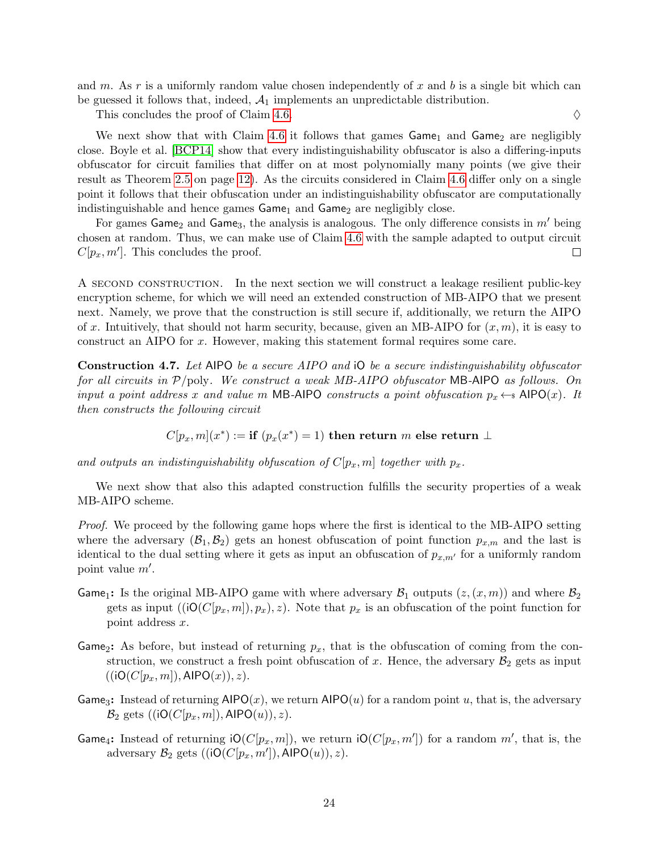<span id="page-23-1"></span>and m. As r is a uniformly random value chosen independently of x and b is a single bit which can be guessed it follows that, indeed,  $A_1$  implements an unpredictable distribution.

This concludes the proof of Claim [4.6.](#page-21-1)  $\Diamond$ 

We next show that with Claim [4.6](#page-21-1) it follows that games  $Gamma_1$  and  $Game_2$  are negligibly close. Boyle et al. [\[BCP14\]](#page-28-2) show that every indistinguishability obfuscator is also a differing-inputs obfuscator for circuit families that differ on at most polynomially many points (we give their result as Theorem [2.5](#page-11-0) on page [12\)](#page-11-0). As the circuits considered in Claim [4.6](#page-21-1) differ only on a single point it follows that their obfuscation under an indistinguishability obfuscator are computationally indistinguishable and hence games  $Game<sub>1</sub>$  and  $Game<sub>2</sub>$  are negligibly close.

For games Game<sub>2</sub> and Game<sub>3</sub>, the analysis is analogous. The only difference consists in  $m'$  being chosen at random. Thus, we can make use of Claim [4.6](#page-21-1) with the sample adapted to output circuit  $C[p_x, m']$ . This concludes the proof.  $\Box$ 

A SECOND CONSTRUCTION. In the next section we will construct a leakage resilient public-key encryption scheme, for which we will need an extended construction of MB-AIPO that we present next. Namely, we prove that the construction is still secure if, additionally, we return the AIPO of x. Intuitively, that should not harm security, because, given an MB-AIPO for  $(x, m)$ , it is easy to construct an AIPO for x. However, making this statement formal requires some care.

<span id="page-23-0"></span>Construction 4.7. Let AIPO be a secure AIPO and iO be a secure indistinguishability obfuscator for all circuits in  $P/\text{poly}$ . We construct a weak MB-AIPO obfuscator MB-AIPO as follows. On input a point address x and value m MB-AIPO constructs a point obfuscation  $p_x \leftarrow$  AIPO(x). It then constructs the following circuit

 $C[p_x, m](x^*) := \textbf{if} \, (p_x(x^*) = 1) \textbf{ then return } m \textbf{ else return } \bot$ 

and outputs an indistinguishability obfuscation of  $C[p_x, m]$  together with  $p_x$ .

We next show that also this adapted construction fulfills the security properties of a weak MB-AIPO scheme.

Proof. We proceed by the following game hops where the first is identical to the MB-AIPO setting where the adversary  $(\mathcal{B}_1, \mathcal{B}_2)$  gets an honest obfuscation of point function  $p_{x,m}$  and the last is identical to the dual setting where it gets as input an obfuscation of  $p_{x,m'}$  for a uniformly random point value  $m'$ .

- **Game**<sub>1</sub>: Is the original MB-AIPO game with where adversary  $\mathcal{B}_1$  outputs  $(z,(x,m))$  and where  $\mathcal{B}_2$ gets as input  $((iO(C[p_x,m]), p_x), z)$ . Note that  $p_x$  is an obfuscation of the point function for point address x.
- Game<sub>2</sub>: As before, but instead of returning  $p_x$ , that is the obfuscation of coming from the construction, we construct a fresh point obfuscation of x. Hence, the adversary  $\mathcal{B}_2$  gets as input  $((iO(C[p_x, m]), AIPO(x)), z).$
- Game<sub>3</sub>: Instead of returning  $\mathsf{AIPO}(x)$ , we return  $\mathsf{AIPO}(u)$  for a random point u, that is, the adversary  $\mathcal{B}_2$  gets  $((iO(C[p_x,m]), AIPO(u)), z).$
- Game<sub>4</sub>: Instead of returning  $O(C[p_x, m])$ , we return  $O(C[p_x, m'])$  for a random m', that is, the adversary  $\mathcal{B}_2$  gets  $((iO(C[p_x, m']), AIPO(u)), z)$ .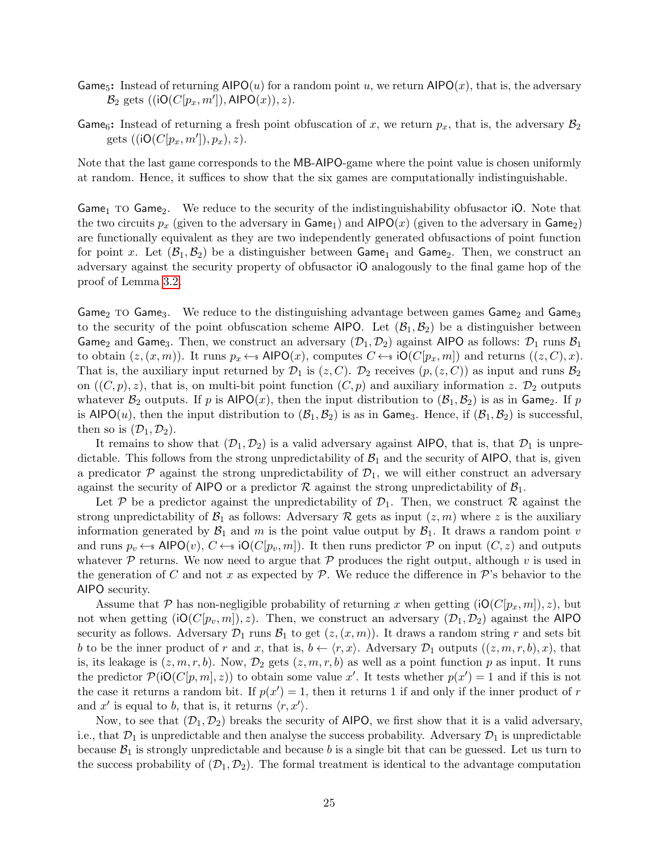- **Game<sub>5</sub>:** Instead of returning  $\text{AIPO}(u)$  for a random point u, we return  $\text{AIPO}(x)$ , that is, the adversary  $B_2$  gets  $((iO(C[p_x, m')), AIPO(x)), z).$
- Game<sub>6</sub>: Instead of returning a fresh point obfuscation of x, we return  $p_x$ , that is, the adversary  $\mathcal{B}_2$ gets  $((iO(C[p_x, m')), p_x), z).$

Note that the last game corresponds to the MB-AIPO-game where the point value is chosen uniformly at random. Hence, it suffices to show that the six games are computationally indistinguishable.

Game<sub>1</sub> TO Game<sub>2</sub>. We reduce to the security of the indistinguishability obfusactor iO. Note that the two circuits  $p_x$  (given to the adversary in Game<sub>1</sub>) and AIPO(x) (given to the adversary in Game<sub>2</sub>) are functionally equivalent as they are two independently generated obfusactions of point function for point x. Let  $(\mathcal{B}_1, \mathcal{B}_2)$  be a distinguisher between Game<sub>1</sub> and Game<sub>2</sub>. Then, we construct an adversary against the security property of obfusactor iO analogously to the final game hop of the proof of Lemma [3.2.](#page-16-0)

Game<sub>2</sub> TO Game<sub>3</sub>. We reduce to the distinguishing advantage between games Game<sub>2</sub> and Game<sub>3</sub> to the security of the point obfuscation scheme AIPO. Let  $(\mathcal{B}_1, \mathcal{B}_2)$  be a distinguisher between Game<sub>2</sub> and Game<sub>3</sub>. Then, we construct an adversary  $(\mathcal{D}_1, \mathcal{D}_2)$  against AIPO as follows:  $\mathcal{D}_1$  runs  $\mathcal{B}_1$ to obtain  $(z,(x,m))$ . It runs  $p_x \leftarrow \{ \text{AIPO}(x),$  computes  $C \leftarrow \{ \text{iO}(C[p_x,m]) \}$  and returns  $((z, C), x)$ . That is, the auxiliary input returned by  $\mathcal{D}_1$  is  $(z, C)$ .  $\mathcal{D}_2$  receives  $(p, (z, C))$  as input and runs  $\mathcal{B}_2$ on  $((C, p), z)$ , that is, on multi-bit point function  $(C, p)$  and auxiliary information z.  $\mathcal{D}_2$  outputs whatever  $\mathcal{B}_2$  outputs. If p is AIPO(x), then the input distribution to  $(\mathcal{B}_1, \mathcal{B}_2)$  is as in Game<sub>2</sub>. If p is AIPO(u), then the input distribution to  $(\mathcal{B}_1, \mathcal{B}_2)$  is as in Game<sub>3</sub>. Hence, if  $(\mathcal{B}_1, \mathcal{B}_2)$  is successful, then so is  $(\mathcal{D}_1, \mathcal{D}_2)$ .

It remains to show that  $(\mathcal{D}_1, \mathcal{D}_2)$  is a valid adversary against AIPO, that is, that  $\mathcal{D}_1$  is unpredictable. This follows from the strong unpredictability of  $B_1$  and the security of AIPO, that is, given a predicator  $P$  against the strong unpredictability of  $\mathcal{D}_1$ , we will either construct an adversary against the security of AIPO or a predictor  $\mathcal R$  against the strong unpredictability of  $\mathcal B_1$ .

Let P be a predictor against the unpredictability of  $\mathcal{D}_1$ . Then, we construct R against the strong unpredictability of  $\mathcal{B}_1$  as follows: Adversary R gets as input  $(z, m)$  where z is the auxiliary information generated by  $\mathcal{B}_1$  and m is the point value output by  $\mathcal{B}_1$ . It draws a random point v and runs  $p_v \leftarrow$  AIPO(v),  $C \leftarrow$  iO( $C[p_v, m]$ ). It then runs predictor P on input  $(C, z)$  and outputs whatever  $\mathcal P$  returns. We now need to argue that  $\mathcal P$  produces the right output, although v is used in the generation of C and not x as expected by P. We reduce the difference in P's behavior to the AIPO security.

Assume that P has non-negligible probability of returning x when getting  $(iO(C[p_x, m]), z)$ , but not when getting  $(iO(C[p_v, m]), z)$ . Then, we construct an adversary  $(\mathcal{D}_1, \mathcal{D}_2)$  against the AIPO security as follows. Adversary  $\mathcal{D}_1$  runs  $\mathcal{B}_1$  to get  $(z,(x,m))$ . It draws a random string r and sets bit b to be the inner product of r and x, that is,  $b \leftarrow \langle r, x \rangle$ . Adversary  $\mathcal{D}_1$  outputs  $((z, m, r, b), x)$ , that is, its leakage is  $(z, m, r, b)$ . Now,  $\mathcal{D}_2$  gets  $(z, m, r, b)$  as well as a point function p as input. It runs the predictor  $\mathcal{P}(\mathsf{iO}(C[p,m], z))$  to obtain some value x'. It tests whether  $p(x') = 1$  and if this is not the case it returns a random bit. If  $p(x') = 1$ , then it returns 1 if and only if the inner product of r and x' is equal to b, that is, it returns  $\langle r, x' \rangle$ .

Now, to see that  $(\mathcal{D}_1, \mathcal{D}_2)$  breaks the security of AIPO, we first show that it is a valid adversary, i.e., that  $\mathcal{D}_1$  is unpredictable and then analyse the success probability. Adversary  $\mathcal{D}_1$  is unpredictable because  $B_1$  is strongly unpredictable and because b is a single bit that can be guessed. Let us turn to the success probability of  $(\mathcal{D}_1, \mathcal{D}_2)$ . The formal treatment is identical to the advantage computation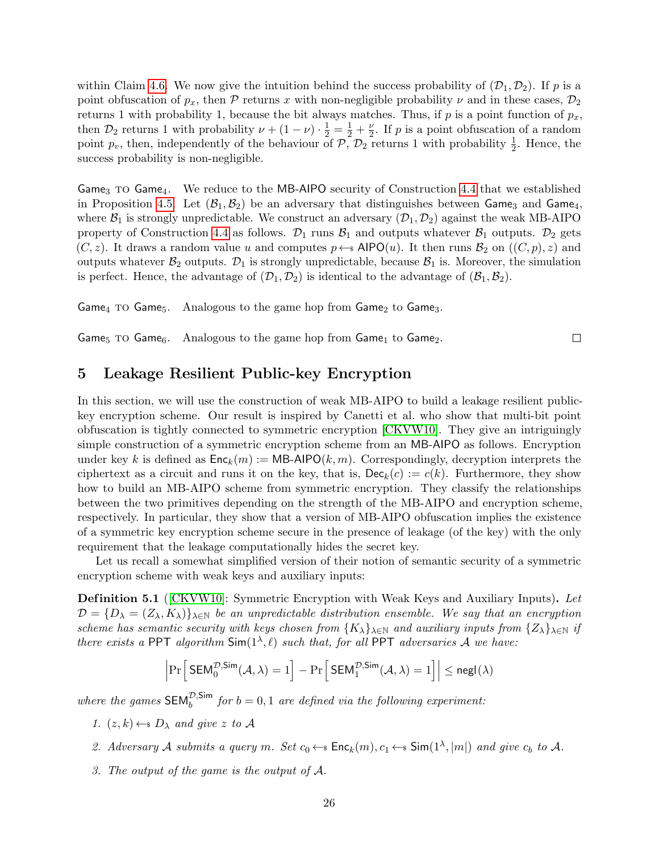<span id="page-25-1"></span>within Claim [4.6.](#page-21-1) We now give the intuition behind the success probability of  $(\mathcal{D}_1, \mathcal{D}_2)$ . If p is a point obfuscation of  $p_x$ , then P returns x with non-negligible probability  $\nu$  and in these cases,  $\mathcal{D}_2$ returns 1 with probability 1, because the bit always matches. Thus, if p is a point function of  $p_x$ , then  $\mathcal{D}_2$  returns 1 with probability  $\nu + (1 - \nu) \cdot \frac{1}{2} = \frac{1}{2} + \frac{\nu}{2}$  $\frac{\nu}{2}$ . If p is a point obfuscation of a random point  $p_v$ , then, independently of the behaviour of  $\overline{P}$ ,  $\overline{D}_2$  returns 1 with probability  $\frac{1}{2}$ . Hence, the success probability is non-negligible.

Game<sub>3</sub> TO Game<sub>4</sub>. We reduce to the MB-AIPO security of Construction [4.4](#page-20-2) that we established in Proposition [4.5.](#page-21-0) Let  $(\mathcal{B}_1, \mathcal{B}_2)$  be an adversary that distinguishes between Game<sub>3</sub> and Game<sub>4</sub>, where  $\mathcal{B}_1$  is strongly unpredictable. We construct an adversary  $(\mathcal{D}_1, \mathcal{D}_2)$  against the weak MB-AIPO property of Construction [4.4](#page-20-2) as follows.  $\mathcal{D}_1$  runs  $\mathcal{B}_1$  and outputs whatever  $\mathcal{B}_1$  outputs.  $\mathcal{D}_2$  gets  $(C, z)$ . It draws a random value u and computes  $p \leftarrow s$  AIPO(u). It then runs  $\mathcal{B}_2$  on  $((C, p), z)$  and outputs whatever  $\mathcal{B}_2$  outputs.  $\mathcal{D}_1$  is strongly unpredictable, because  $\mathcal{B}_1$  is. Moreover, the simulation is perfect. Hence, the advantage of  $(\mathcal{D}_1, \mathcal{D}_2)$  is identical to the advantage of  $(\mathcal{B}_1, \mathcal{B}_2)$ .

Game<sub>4</sub> TO Game<sub>5</sub>. Analogous to the game hop from Game<sub>2</sub> to Game<sub>3</sub>.

Game<sub>5</sub> TO Game<sub>6</sub>. Analogous to the game hop from Game<sub>1</sub> to Game<sub>2</sub>.  $\Box$ 

## <span id="page-25-0"></span>5 Leakage Resilient Public-key Encryption

In this section, we will use the construction of weak MB-AIPO to build a leakage resilient publickey encryption scheme. Our result is inspired by Canetti et al. who show that multi-bit point obfuscation is tightly connected to symmetric encryption [\[CKVW10\]](#page-30-6). They give an intriguingly simple construction of a symmetric encryption scheme from an MB-AIPO as follows. Encryption under key k is defined as  $\mathsf{Enc}_k(m) := \mathsf{MB}\text{-}\mathsf{AIPO}(k,m)$ . Correspondingly, decryption interprets the ciphertext as a circuit and runs it on the key, that is,  $\text{Dec}_k(c) := c(k)$ . Furthermore, they show how to build an MB-AIPO scheme from symmetric encryption. They classify the relationships between the two primitives depending on the strength of the MB-AIPO and encryption scheme, respectively. In particular, they show that a version of MB-AIPO obfuscation implies the existence of a symmetric key encryption scheme secure in the presence of leakage (of the key) with the only requirement that the leakage computationally hides the secret key.

Let us recall a somewhat simplified version of their notion of semantic security of a symmetric encryption scheme with weak keys and auxiliary inputs:

**Definition 5.1** ([\[CKVW10\]](#page-30-6): Symmetric Encryption with Weak Keys and Auxiliary Inputs). Let  $\mathcal{D} = \{D_\lambda = (Z_\lambda, K_\lambda)\}_{\lambda \in \mathbb{N}}$  be an unpredictable distribution ensemble. We say that an encryption scheme has semantic security with keys chosen from  ${K_{\lambda}}_{\lambda\in\mathbb{N}}$  and auxiliary inputs from  ${Z_{\lambda}}_{\lambda\in\mathbb{N}}$  if there exists a PPT algorithm  $\textsf{Sim}(1^{\lambda}, \ell)$  such that, for all PPT adversaries A we have:

$$
\left|\Pr\Big[\operatorname{SEM}_0^{\mathcal{D},\operatorname{Sim}}(\mathcal{A},\lambda)=1\Big]-\Pr\Big[\operatorname{SEM}_1^{\mathcal{D},\operatorname{Sim}}(\mathcal{A},\lambda)=1\Big]\right|\le {\mathsf{negl}}(\lambda)
$$

where the games  $\text{SEM}_b^{\mathcal{D}, \text{Sim}}$  for  $b = 0, 1$  are defined via the following experiment:

- 1.  $(z, k) \leftarrow s D_{\lambda}$  and give z to A
- 2. Adversary A submits a query m. Set  $c_0 \leftarrow s \text{Enc}_k(m), c_1 \leftarrow s \text{Sim}(1^{\lambda}, |m|)$  and give  $c_b$  to A.
- 3. The output of the game is the output of A.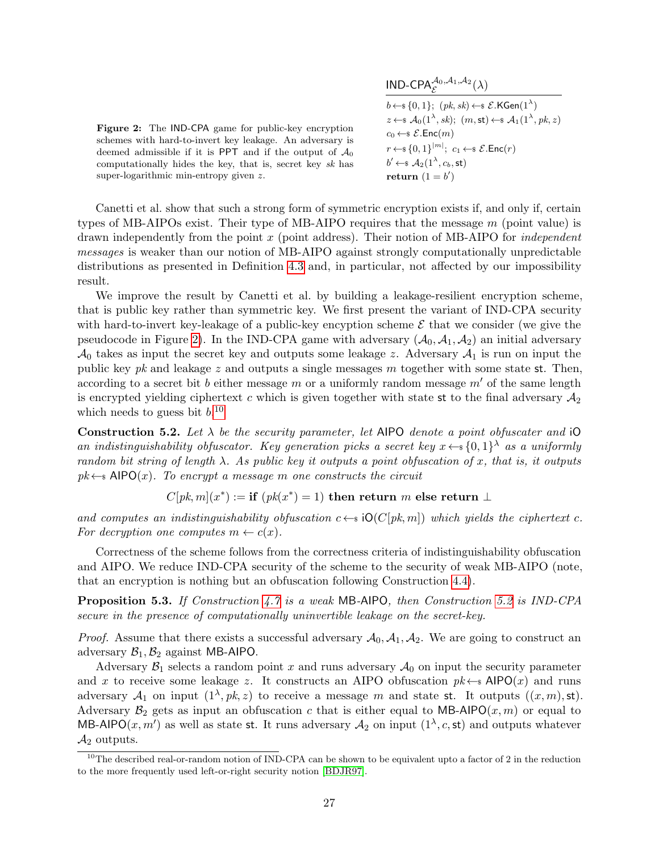IND-CPA $_{\mathcal{E}}^{\mathcal{A}_0,\mathcal{A}_1,\mathcal{A}_2}(\lambda)$ 

<span id="page-26-4"></span><span id="page-26-1"></span>Figure 2: The IND-CPA game for public-key encryption schemes with hard-to-invert key leakage. An adversary is deemed admissible if it is **PPT** and if the output of  $A_0$ computationally hides the key, that is, secret key sk has super-logarithmic min-entropy given z.

$$
b \leftarrow s \{0, 1\}; (pk, sk) \leftarrow s \mathcal{E}.\mathsf{KGen}(1^{\lambda})
$$
  

$$
z \leftarrow s \mathcal{A}_0(1^{\lambda}, sk); (m, st) \leftarrow s \mathcal{A}_1(1^{\lambda}, pk, z)
$$
  

$$
c_0 \leftarrow s \mathcal{E}.\mathsf{Enc}(m)
$$
  

$$
r \leftarrow s \{0, 1\}^{|m|}; c_1 \leftarrow s \mathcal{E}.\mathsf{Enc}(r)
$$
  

$$
b' \leftarrow s \mathcal{A}_2(1^{\lambda}, c_b, st)
$$
  
return 
$$
(1 = b')
$$

Canetti et al. show that such a strong form of symmetric encryption exists if, and only if, certain types of MB-AIPOs exist. Their type of MB-AIPO requires that the message m (point value) is drawn independently from the point  $x$  (point address). Their notion of MB-AIPO for *independent* messages is weaker than our notion of MB-AIPO against strongly computationally unpredictable distributions as presented in Definition [4.3](#page-20-3) and, in particular, not affected by our impossibility result.

We improve the result by Canetti et al. by building a leakage-resilient encryption scheme, that is public key rather than symmetric key. We first present the variant of IND-CPA security with hard-to-invert key-leakage of a public-key encyption scheme  $\mathcal E$  that we consider (we give the pseudocode in Figure [2\)](#page-26-1). In the IND-CPA game with adversary  $(\mathcal{A}_0, \mathcal{A}_1, \mathcal{A}_2)$  an initial adversary  $\mathcal{A}_0$  takes as input the secret key and outputs some leakage z. Adversary  $\mathcal{A}_1$  is run on input the public key  $pk$  and leakage  $z$  and outputs a single messages  $m$  together with some state st. Then, according to a secret bit b either message m or a uniformly random message  $m'$  of the same length is encrypted yielding ciphertext c which is given together with state st to the final adversary  $\mathcal{A}_2$ which needs to guess bit  $b^{10}$  $b^{10}$  $b^{10}$ .

<span id="page-26-3"></span>Construction 5.2. Let  $\lambda$  be the security parameter, let AIPO denote a point obfuscater and iO an indistinguishability obfuscator. Key generation picks a secret key  $x \leftarrow s \{0,1\}^{\lambda}$  as a uniformly random bit string of length  $\lambda$ . As public key it outputs a point obfuscation of x, that is, it outputs  $pk \leftarrow s$  AIPO(x). To encrypt a message m one constructs the circuit

$$
C[pk, m](x^*) :=
$$
 if  $(pk(x^*) = 1)$  then return m else return  $\perp$ 

and computes an indistinguishability obfuscation  $c \leftarrow \mathbf{S} \cdot \mathbf{O}(C[pk, m])$  which yields the ciphertext c. For decryption one computes  $m \leftarrow c(x)$ .

Correctness of the scheme follows from the correctness criteria of indistinguishability obfuscation and AIPO. We reduce IND-CPA security of the scheme to the security of weak MB-AIPO (note, that an encryption is nothing but an obfuscation following Construction [4.4\)](#page-20-2).

<span id="page-26-0"></span>**Proposition 5.3.** If Construction [4.7](#page-23-0) is a weak MB-AIPO, then Construction [5.2](#page-26-3) is IND-CPA secure in the presence of computationally uninvertible leakage on the secret-key.

*Proof.* Assume that there exists a successful adversary  $A_0$ ,  $A_1$ ,  $A_2$ . We are going to construct an adversary  $\mathcal{B}_1, \mathcal{B}_2$  against MB-AIPO.

Adversary  $\mathcal{B}_1$  selects a random point x and runs adversary  $\mathcal{A}_0$  on input the security parameter and x to receive some leakage z. It constructs an AIPO obfuscation  $pk \leftarrow s$  AIPO(x) and runs adversary  $A_1$  on input  $(1^{\lambda}, p k, z)$  to receive a message m and state st. It outputs  $((x, m), \text{st})$ . Adversary  $\mathcal{B}_2$  gets as input an obfuscation c that is either equal to MB-AIPO(x, m) or equal to MB-AIPO(x, m') as well as state st. It runs adversary  $\mathcal{A}_2$  on input  $(1^{\lambda}, c, st)$  and outputs whatever  $\mathcal{A}_2$  outputs.

<span id="page-26-2"></span><sup>&</sup>lt;sup>10</sup>The described real-or-random notion of IND-CPA can be shown to be equivalent upto a factor of 2 in the reduction to the more frequently used left-or-right security notion [\[BDJR97\]](#page-28-8).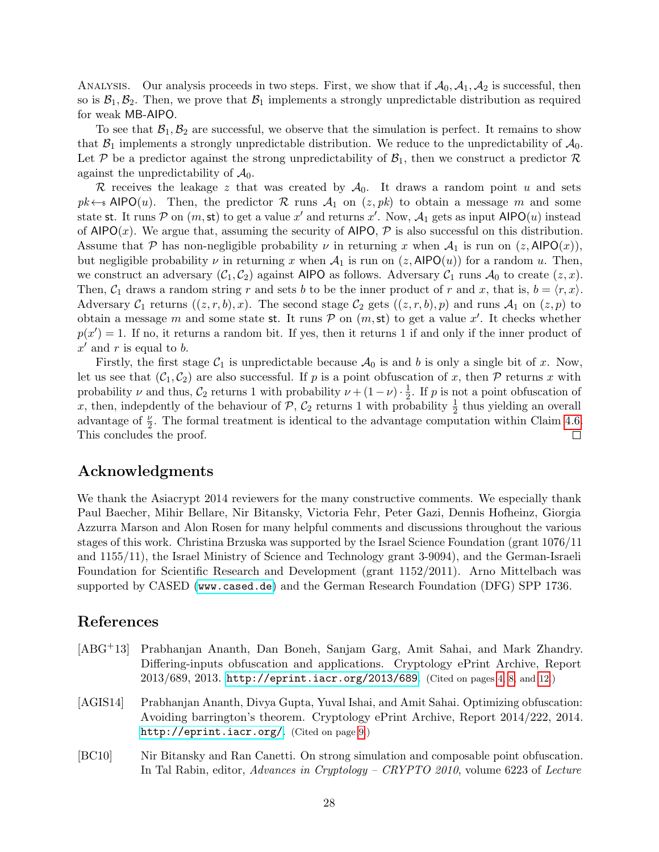ANALYSIS. Our analysis proceeds in two steps. First, we show that if  $\mathcal{A}_0$ ,  $\mathcal{A}_1$ ,  $\mathcal{A}_2$  is successful, then so is  $\mathcal{B}_1, \mathcal{B}_2$ . Then, we prove that  $\mathcal{B}_1$  implements a strongly unpredictable distribution as required for weak MB-AIPO.

To see that  $\mathcal{B}_1, \mathcal{B}_2$  are successful, we observe that the simulation is perfect. It remains to show that  $\mathcal{B}_1$  implements a strongly unpredictable distribution. We reduce to the unpredictability of  $\mathcal{A}_0$ . Let P be a predictor against the strong unpredictability of  $\mathcal{B}_1$ , then we construct a predictor R against the unpredictability of  $\mathcal{A}_0$ .

R receives the leakage z that was created by  $A_0$ . It draws a random point u and sets  $pk \leftarrow s$  AIPO(u). Then, the predictor R runs  $A_1$  on  $(z, pk)$  to obtain a message m and some state st. It runs  $P$  on  $(m, st)$  to get a value  $x'$  and returns  $x'$ . Now,  $\mathcal{A}_1$  gets as input AIPO(u) instead of AIPO(x). We argue that, assuming the security of AIPO,  $\mathcal P$  is also successful on this distribution. Assume that P has non-negligible probability  $\nu$  in returning x when  $\mathcal{A}_1$  is run on  $(z, \text{AIPO}(x))$ , but negligible probability  $\nu$  in returning x when  $\mathcal{A}_1$  is run on  $(z, \text{AIPO}(u))$  for a random u. Then, we construct an adversary  $(C_1, C_2)$  against AIPO as follows. Adversary  $C_1$  runs  $\mathcal{A}_0$  to create  $(z, x)$ . Then,  $C_1$  draws a random string r and sets b to be the inner product of r and x, that is,  $b = \langle r, x \rangle$ . Adversary  $C_1$  returns  $((z, r, b), x)$ . The second stage  $C_2$  gets  $((z, r, b), p)$  and runs  $\mathcal{A}_1$  on  $(z, p)$  to obtain a message m and some state st. It runs  $P$  on  $(m, st)$  to get a value x'. It checks whether  $p(x') = 1$ . If no, it returns a random bit. If yes, then it returns 1 if and only if the inner product of  $x'$  and r is equal to b.

Firstly, the first stage  $C_1$  is unpredictable because  $A_0$  is and b is only a single bit of x. Now, let us see that  $(\mathcal{C}_1, \mathcal{C}_2)$  are also successful. If p is a point obfuscation of x, then P returns x with probability  $\nu$  and thus,  $\mathcal{C}_2$  returns 1 with probability  $\nu + (1 - \nu) \cdot \frac{1}{2}$  $\frac{1}{2}$ . If p is not a point obfuscation of x, then, indepdently of the behaviour of  $P$ ,  $C_2$  returns 1 with probability  $\frac{1}{2}$  thus yielding an overall advantage of  $\frac{\nu}{2}$ . The formal treatment is identical to the advantage computation within Claim [4.6.](#page-21-1) This concludes the proof.  $\Box$ 

# Acknowledgments

We thank the Asiacrypt 2014 reviewers for the many constructive comments. We especially thank Paul Baecher, Mihir Bellare, Nir Bitansky, Victoria Fehr, Peter Gazi, Dennis Hofheinz, Giorgia Azzurra Marson and Alon Rosen for many helpful comments and discussions throughout the various stages of this work. Christina Brzuska was supported by the Israel Science Foundation (grant 1076/11 and 1155/11), the Israel Ministry of Science and Technology grant 3-9094), and the German-Israeli Foundation for Scientific Research and Development (grant 1152/2011). Arno Mittelbach was supported by CASED (<www.cased.de>) and the German Research Foundation (DFG) SPP 1736.

# References

<span id="page-27-2"></span><span id="page-27-1"></span>[ABG+13] Prabhanjan Ananth, Dan Boneh, Sanjam Garg, Amit Sahai, and Mark Zhandry. Differing-inputs obfuscation and applications. Cryptology ePrint Archive, Report 2013/689, 2013. <http://eprint.iacr.org/2013/689>. (Cited on pages [4,](#page-3-1) [8,](#page-7-0) and [12.](#page-11-1)) [AGIS14] Prabhanjan Ananth, Divya Gupta, Yuval Ishai, and Amit Sahai. Optimizing obfuscation: Avoiding barrington's theorem. Cryptology ePrint Archive, Report 2014/222, 2014. <http://eprint.iacr.org/>. (Cited on page [9.](#page-8-0)) [BC10] Nir Bitansky and Ran Canetti. On strong simulation and composable point obfuscation.

<span id="page-27-0"></span>In Tal Rabin, editor, Advances in Cryptology – CRYPTO 2010, volume 6223 of Lecture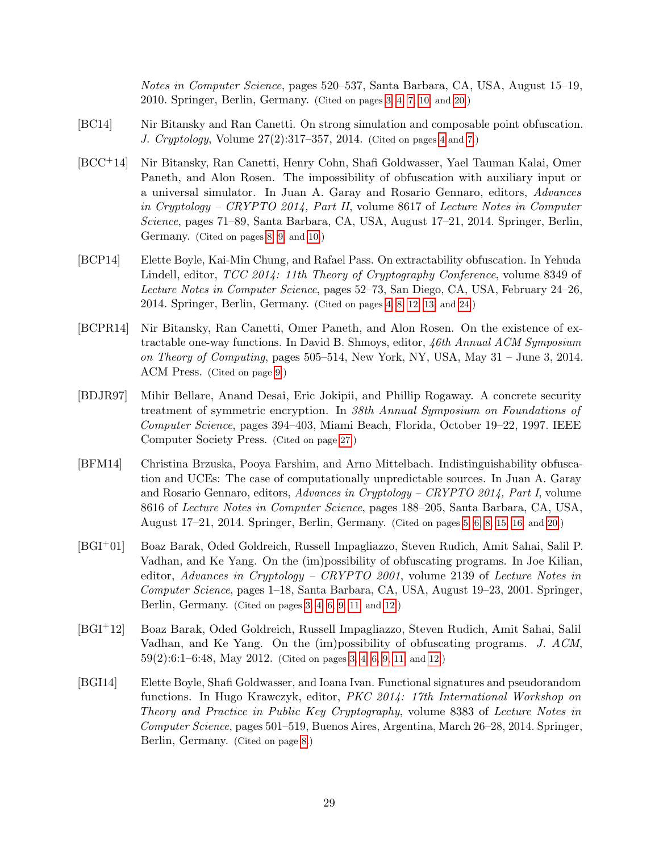Notes in Computer Science, pages 520–537, Santa Barbara, CA, USA, August 15–19, 2010. Springer, Berlin, Germany. (Cited on pages [3,](#page-2-1) [4,](#page-3-1) [7,](#page-6-1) [10,](#page-9-2) and [20.](#page-19-3))

- <span id="page-28-3"></span>[BC14] Nir Bitansky and Ran Canetti. On strong simulation and composable point obfuscation. J. Cryptology, Volume  $27(2):317-357$ , 2014. (Cited on pages [4](#page-3-1) and [7.](#page-6-1))
- <span id="page-28-6"></span>[BCC+14] Nir Bitansky, Ran Canetti, Henry Cohn, Shafi Goldwasser, Yael Tauman Kalai, Omer Paneth, and Alon Rosen. The impossibility of obfuscation with auxiliary input or a universal simulator. In Juan A. Garay and Rosario Gennaro, editors, Advances in Cryptology – CRYPTO 2014, Part II, volume 8617 of Lecture Notes in Computer Science, pages 71–89, Santa Barbara, CA, USA, August 17–21, 2014. Springer, Berlin, Germany. (Cited on pages [8,](#page-7-0) [9,](#page-8-0) and [10.](#page-9-2))
- <span id="page-28-2"></span>[BCP14] Elette Boyle, Kai-Min Chung, and Rafael Pass. On extractability obfuscation. In Yehuda Lindell, editor, TCC 2014: 11th Theory of Cryptography Conference, volume 8349 of Lecture Notes in Computer Science, pages 52–73, San Diego, CA, USA, February 24–26, 2014. Springer, Berlin, Germany. (Cited on pages [4,](#page-3-1) [8,](#page-7-0) [12,](#page-11-1) [13,](#page-12-1) and [24.](#page-23-1))
- <span id="page-28-7"></span>[BCPR14] Nir Bitansky, Ran Canetti, Omer Paneth, and Alon Rosen. On the existence of extractable one-way functions. In David B. Shmoys, editor, 46th Annual ACM Symposium on Theory of Computing, pages 505–514, New York, NY, USA, May 31 – June 3, 2014. ACM Press. (Cited on page [9.](#page-8-0))
- <span id="page-28-8"></span>[BDJR97] Mihir Bellare, Anand Desai, Eric Jokipii, and Phillip Rogaway. A concrete security treatment of symmetric encryption. In 38th Annual Symposium on Foundations of Computer Science, pages 394–403, Miami Beach, Florida, October 19–22, 1997. IEEE Computer Society Press. (Cited on page [27.](#page-26-4))
- <span id="page-28-4"></span>[BFM14] Christina Brzuska, Pooya Farshim, and Arno Mittelbach. Indistinguishability obfuscation and UCEs: The case of computationally unpredictable sources. In Juan A. Garay and Rosario Gennaro, editors, Advances in Cryptology – CRYPTO 2014, Part I, volume 8616 of Lecture Notes in Computer Science, pages 188–205, Santa Barbara, CA, USA, August 17–21, 2014. Springer, Berlin, Germany. (Cited on pages [5,](#page-4-1) [6,](#page-5-2) [8,](#page-7-0) [15,](#page-14-2) [16,](#page-15-2) and [20.](#page-19-3))
- <span id="page-28-0"></span>[BGI+01] Boaz Barak, Oded Goldreich, Russell Impagliazzo, Steven Rudich, Amit Sahai, Salil P. Vadhan, and Ke Yang. On the (im)possibility of obfuscating programs. In Joe Kilian, editor, Advances in Cryptology – CRYPTO 2001, volume 2139 of Lecture Notes in Computer Science, pages 1–18, Santa Barbara, CA, USA, August 19–23, 2001. Springer, Berlin, Germany. (Cited on pages [3,](#page-2-1) [4,](#page-3-1) [6,](#page-5-2) [9,](#page-8-0) [11,](#page-10-1) and [12.](#page-11-1))
- <span id="page-28-1"></span>[BGI+12] Boaz Barak, Oded Goldreich, Russell Impagliazzo, Steven Rudich, Amit Sahai, Salil Vadhan, and Ke Yang. On the (im)possibility of obfuscating programs. J. ACM, 59(2):6:1–6:48, May 2012. (Cited on pages [3,](#page-2-1) [4,](#page-3-1) [6,](#page-5-2) [9,](#page-8-0) [11,](#page-10-1) and [12.](#page-11-1))
- <span id="page-28-5"></span>[BGI14] Elette Boyle, Shafi Goldwasser, and Ioana Ivan. Functional signatures and pseudorandom functions. In Hugo Krawczyk, editor, PKC 2014: 17th International Workshop on Theory and Practice in Public Key Cryptography, volume 8383 of Lecture Notes in Computer Science, pages 501–519, Buenos Aires, Argentina, March 26–28, 2014. Springer, Berlin, Germany. (Cited on page [8.](#page-7-0))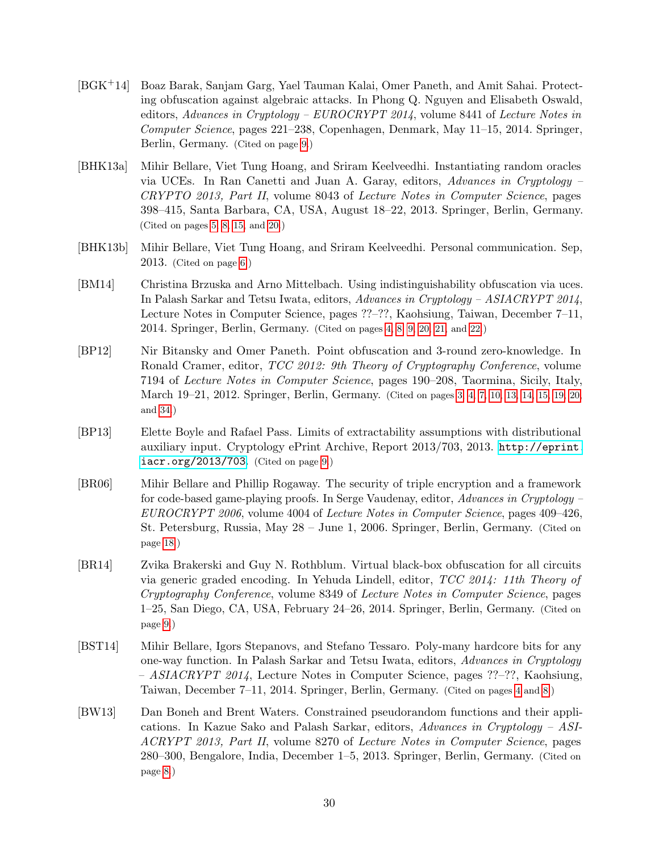- <span id="page-29-8"></span>[BGK+14] Boaz Barak, Sanjam Garg, Yael Tauman Kalai, Omer Paneth, and Amit Sahai. Protecting obfuscation against algebraic attacks. In Phong Q. Nguyen and Elisabeth Oswald, editors, Advances in Cryptology – EUROCRYPT 2014, volume 8441 of Lecture Notes in Computer Science, pages 221–238, Copenhagen, Denmark, May 11–15, 2014. Springer, Berlin, Germany. (Cited on page [9.](#page-8-0))
- <span id="page-29-3"></span>[BHK13a] Mihir Bellare, Viet Tung Hoang, and Sriram Keelveedhi. Instantiating random oracles via UCEs. In Ran Canetti and Juan A. Garay, editors, Advances in Cryptology – CRYPTO 2013, Part II, volume 8043 of Lecture Notes in Computer Science, pages 398–415, Santa Barbara, CA, USA, August 18–22, 2013. Springer, Berlin, Germany. (Cited on pages [5,](#page-4-1) [8,](#page-7-0) [15,](#page-14-2) and [20.](#page-19-3))
- <span id="page-29-4"></span>[BHK13b] Mihir Bellare, Viet Tung Hoang, and Sriram Keelveedhi. Personal communication. Sep, 2013. (Cited on page [6.](#page-5-2))
- <span id="page-29-2"></span>[BM14] Christina Brzuska and Arno Mittelbach. Using indistinguishability obfuscation via uces. In Palash Sarkar and Tetsu Iwata, editors, Advances in Cryptology – ASIACRYPT 2014, Lecture Notes in Computer Science, pages ??–??, Kaohsiung, Taiwan, December 7–11, 2014. Springer, Berlin, Germany. (Cited on pages [4,](#page-3-1) [8,](#page-7-0) [9,](#page-8-0) [20,](#page-19-3) [21,](#page-20-4) and [22.](#page-21-2))
- <span id="page-29-0"></span>[BP12] Nir Bitansky and Omer Paneth. Point obfuscation and 3-round zero-knowledge. In Ronald Cramer, editor, TCC 2012: 9th Theory of Cryptography Conference, volume 7194 of Lecture Notes in Computer Science, pages 190–208, Taormina, Sicily, Italy, March 19–21, 2012. Springer, Berlin, Germany. (Cited on pages [3,](#page-2-1) [4,](#page-3-1) [7,](#page-6-1) [10,](#page-9-2) [13,](#page-12-1) [14,](#page-13-2) [15,](#page-14-2) [19,](#page-18-2) [20,](#page-19-3) and [34.](#page-33-2))
- <span id="page-29-6"></span>[BP13] Elette Boyle and Rafael Pass. Limits of extractability assumptions with distributional auxiliary input. Cryptology ePrint Archive, Report 2013/703, 2013. [http://eprint.](http://eprint.iacr.org/2013/703) [iacr.org/2013/703](http://eprint.iacr.org/2013/703). (Cited on page [9.](#page-8-0))
- <span id="page-29-9"></span>[BR06] Mihir Bellare and Phillip Rogaway. The security of triple encryption and a framework for code-based game-playing proofs. In Serge Vaudenay, editor, Advances in Cryptology – EUROCRYPT 2006, volume 4004 of Lecture Notes in Computer Science, pages 409–426, St. Petersburg, Russia, May 28 – June 1, 2006. Springer, Berlin, Germany. (Cited on page [18.](#page-17-1))
- <span id="page-29-7"></span>[BR14] Zvika Brakerski and Guy N. Rothblum. Virtual black-box obfuscation for all circuits via generic graded encoding. In Yehuda Lindell, editor, TCC 2014: 11th Theory of Cryptography Conference, volume 8349 of Lecture Notes in Computer Science, pages 1–25, San Diego, CA, USA, February 24–26, 2014. Springer, Berlin, Germany. (Cited on page [9.](#page-8-0))
- <span id="page-29-1"></span>[BST14] Mihir Bellare, Igors Stepanovs, and Stefano Tessaro. Poly-many hardcore bits for any one-way function. In Palash Sarkar and Tetsu Iwata, editors, Advances in Cryptology  $-$  ASIACRYPT 2014, Lecture Notes in Computer Science, pages ??–??, Kaohsiung, Taiwan, December 7–11, 2014. Springer, Berlin, Germany. (Cited on pages [4](#page-3-1) and [8.](#page-7-0))
- <span id="page-29-5"></span>[BW13] Dan Boneh and Brent Waters. Constrained pseudorandom functions and their applications. In Kazue Sako and Palash Sarkar, editors, Advances in Cryptology – ASI-ACRYPT 2013, Part II, volume 8270 of Lecture Notes in Computer Science, pages 280–300, Bengalore, India, December 1–5, 2013. Springer, Berlin, Germany. (Cited on page [8.](#page-7-0))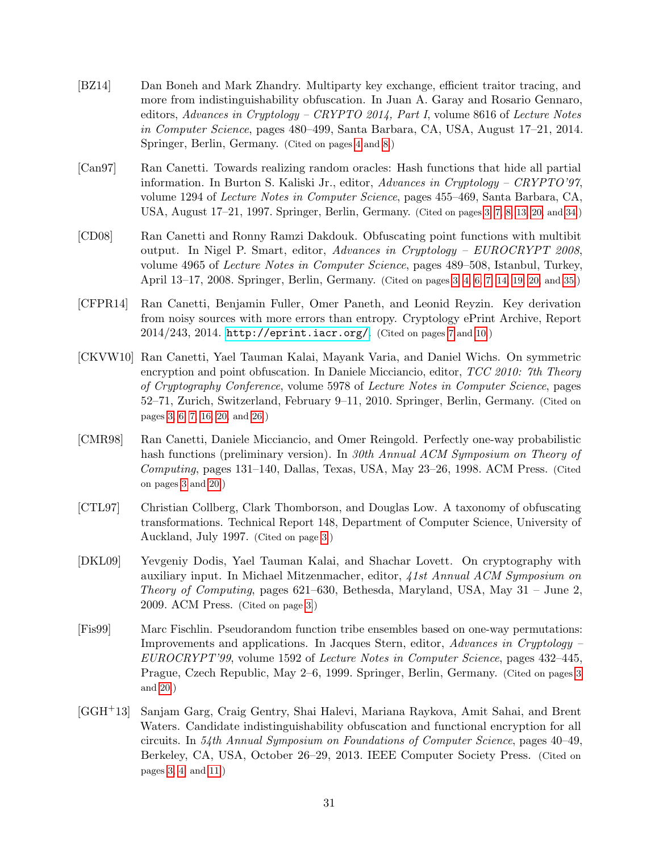- <span id="page-30-8"></span>[BZ14] Dan Boneh and Mark Zhandry. Multiparty key exchange, efficient traitor tracing, and more from indistinguishability obfuscation. In Juan A. Garay and Rosario Gennaro, editors, Advances in Cryptology – CRYPTO 2014, Part I, volume 8616 of Lecture Notes in Computer Science, pages 480–499, Santa Barbara, CA, USA, August 17–21, 2014. Springer, Berlin, Germany. (Cited on pages [4](#page-3-1) and [8.](#page-7-0))
- <span id="page-30-1"></span>[Can97] Ran Canetti. Towards realizing random oracles: Hash functions that hide all partial information. In Burton S. Kaliski Jr., editor, Advances in Cryptology – CRYPTO'97, volume 1294 of Lecture Notes in Computer Science, pages 455–469, Santa Barbara, CA, USA, August 17–21, 1997. Springer, Berlin, Germany. (Cited on pages [3,](#page-2-1) [7,](#page-6-1) [8,](#page-7-0) [13,](#page-12-1) [20,](#page-19-3) and [34.](#page-33-2))
- <span id="page-30-4"></span>[CD08] Ran Canetti and Ronny Ramzi Dakdouk. Obfuscating point functions with multibit output. In Nigel P. Smart, editor, Advances in Cryptology – EUROCRYPT 2008, volume 4965 of Lecture Notes in Computer Science, pages 489–508, Istanbul, Turkey, April 13–17, 2008. Springer, Berlin, Germany. (Cited on pages [3,](#page-2-1) [4,](#page-3-1) [6,](#page-5-2) [7,](#page-6-1) [14,](#page-13-2) [19,](#page-18-2) [20,](#page-19-3) and [35.](#page-34-0))
- <span id="page-30-9"></span>[CFPR14] Ran Canetti, Benjamin Fuller, Omer Paneth, and Leonid Reyzin. Key derivation from noisy sources with more errors than entropy. Cryptology ePrint Archive, Report  $2014/243$ ,  $2014$ . <http://eprint.iacr.org/>. (Cited on pages [7](#page-6-1) and [10.](#page-9-2))
- <span id="page-30-6"></span>[CKVW10] Ran Canetti, Yael Tauman Kalai, Mayank Varia, and Daniel Wichs. On symmetric encryption and point obfuscation. In Daniele Micciancio, editor, TCC 2010: 7th Theory of Cryptography Conference, volume 5978 of Lecture Notes in Computer Science, pages 52–71, Zurich, Switzerland, February 9–11, 2010. Springer, Berlin, Germany. (Cited on pages [3,](#page-2-1) [6,](#page-5-2) [7,](#page-6-1) [16,](#page-15-2) [20,](#page-19-3) and [26.](#page-25-1))
- <span id="page-30-2"></span>[CMR98] Ran Canetti, Daniele Micciancio, and Omer Reingold. Perfectly one-way probabilistic hash functions (preliminary version). In 30th Annual ACM Symposium on Theory of Computing, pages 131–140, Dallas, Texas, USA, May 23–26, 1998. ACM Press. (Cited on pages [3](#page-2-1) and [20.](#page-19-3))
- <span id="page-30-0"></span>[CTL97] Christian Collberg, Clark Thomborson, and Douglas Low. A taxonomy of obfuscating transformations. Technical Report 148, Department of Computer Science, University of Auckland, July 1997. (Cited on page [3.](#page-2-1))
- <span id="page-30-5"></span>[DKL09] Yevgeniy Dodis, Yael Tauman Kalai, and Shachar Lovett. On cryptography with auxiliary input. In Michael Mitzenmacher, editor, 41st Annual ACM Symposium on Theory of Computing, pages 621–630, Bethesda, Maryland, USA, May 31 – June 2, 2009. ACM Press. (Cited on page [3.](#page-2-1))
- <span id="page-30-3"></span>[Fis99] Marc Fischlin. Pseudorandom function tribe ensembles based on one-way permutations: Improvements and applications. In Jacques Stern, editor, Advances in Cryptology – EUROCRYPT'99, volume 1592 of Lecture Notes in Computer Science, pages 432–445, Prague, Czech Republic, May 2–6, 1999. Springer, Berlin, Germany. (Cited on pages [3](#page-2-1) and [20.](#page-19-3))
- <span id="page-30-7"></span>[GGH+13] Sanjam Garg, Craig Gentry, Shai Halevi, Mariana Raykova, Amit Sahai, and Brent Waters. Candidate indistinguishability obfuscation and functional encryption for all circuits. In 54th Annual Symposium on Foundations of Computer Science, pages 40–49, Berkeley, CA, USA, October 26–29, 2013. IEEE Computer Society Press. (Cited on pages [3,](#page-2-1) [4,](#page-3-1) and [11.](#page-10-1))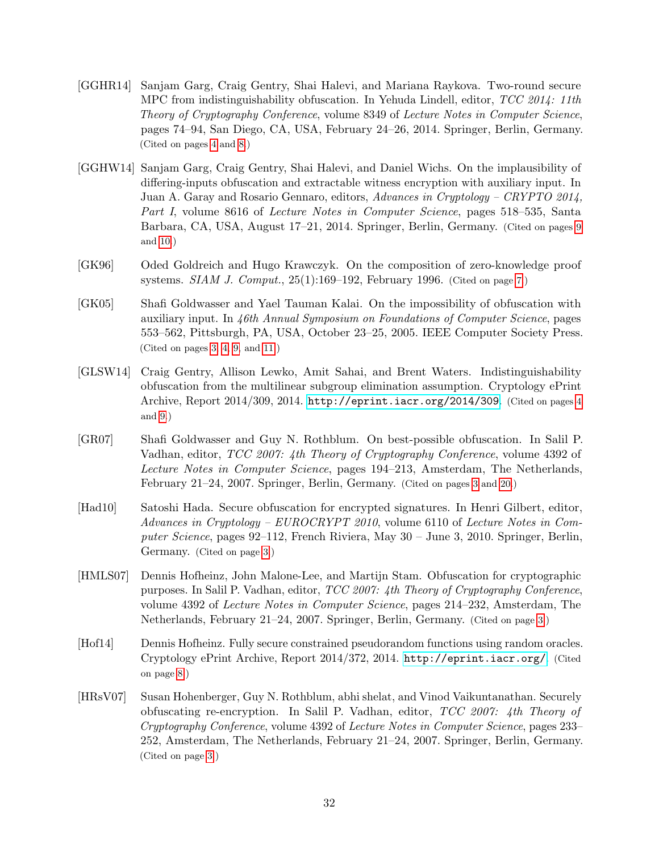- <span id="page-31-5"></span>[GGHR14] Sanjam Garg, Craig Gentry, Shai Halevi, and Mariana Raykova. Two-round secure MPC from indistinguishability obfuscation. In Yehuda Lindell, editor, TCC 2014: 11th Theory of Cryptography Conference, volume 8349 of Lecture Notes in Computer Science, pages 74–94, San Diego, CA, USA, February 24–26, 2014. Springer, Berlin, Germany. (Cited on pages [4](#page-3-1) and [8.](#page-7-0))
- <span id="page-31-9"></span>[GGHW14] Sanjam Garg, Craig Gentry, Shai Halevi, and Daniel Wichs. On the implausibility of differing-inputs obfuscation and extractable witness encryption with auxiliary input. In Juan A. Garay and Rosario Gennaro, editors, Advances in Cryptology – CRYPTO 2014, Part I, volume 8616 of Lecture Notes in Computer Science, pages 518–535, Santa Barbara, CA, USA, August 17–21, 2014. Springer, Berlin, Germany. (Cited on pages [9](#page-8-0) and [10.](#page-9-2))
- <span id="page-31-7"></span>[GK96] Oded Goldreich and Hugo Krawczyk. On the composition of zero-knowledge proof systems.  $SIAM$  J. Comput.,  $25(1):169-192$ , February 1996. (Cited on page [7.](#page-6-1))
- <span id="page-31-3"></span>[GK05] Shafi Goldwasser and Yael Tauman Kalai. On the impossibility of obfuscation with auxiliary input. In 46th Annual Symposium on Foundations of Computer Science, pages 553–562, Pittsburgh, PA, USA, October 23–25, 2005. IEEE Computer Society Press. (Cited on pages [3,](#page-2-1) [4,](#page-3-1) [9,](#page-8-0) and [11.](#page-10-1))
- <span id="page-31-6"></span>[GLSW14] Craig Gentry, Allison Lewko, Amit Sahai, and Brent Waters. Indistinguishability obfuscation from the multilinear subgroup elimination assumption. Cryptology ePrint Archive, Report 2014/309, 2014. <http://eprint.iacr.org/2014/309>. (Cited on pages [4](#page-3-1) and [9.](#page-8-0))
- <span id="page-31-4"></span>[GR07] Shafi Goldwasser and Guy N. Rothblum. On best-possible obfuscation. In Salil P. Vadhan, editor, TCC 2007: 4th Theory of Cryptography Conference, volume 4392 of Lecture Notes in Computer Science, pages 194–213, Amsterdam, The Netherlands, February 21–24, 2007. Springer, Berlin, Germany. (Cited on pages [3](#page-2-1) and [20.](#page-19-3))
- <span id="page-31-2"></span>[Had10] Satoshi Hada. Secure obfuscation for encrypted signatures. In Henri Gilbert, editor, Advances in Cryptology – EUROCRYPT 2010, volume 6110 of Lecture Notes in Computer Science, pages 92–112, French Riviera, May 30 – June 3, 2010. Springer, Berlin, Germany. (Cited on page [3.](#page-2-1))
- <span id="page-31-0"></span>[HMLS07] Dennis Hofheinz, John Malone-Lee, and Martijn Stam. Obfuscation for cryptographic purposes. In Salil P. Vadhan, editor, TCC 2007: 4th Theory of Cryptography Conference, volume 4392 of Lecture Notes in Computer Science, pages 214–232, Amsterdam, The Netherlands, February 21–24, 2007. Springer, Berlin, Germany. (Cited on page [3.](#page-2-1))
- <span id="page-31-8"></span>[Hof14] Dennis Hofheinz. Fully secure constrained pseudorandom functions using random oracles. Cryptology ePrint Archive, Report 2014/372, 2014. <http://eprint.iacr.org/>. (Cited on page [8.](#page-7-0))
- <span id="page-31-1"></span>[HRsV07] Susan Hohenberger, Guy N. Rothblum, abhi shelat, and Vinod Vaikuntanathan. Securely obfuscating re-encryption. In Salil P. Vadhan, editor,  $TCC$  2007: 4th Theory of Cryptography Conference, volume 4392 of Lecture Notes in Computer Science, pages 233– 252, Amsterdam, The Netherlands, February 21–24, 2007. Springer, Berlin, Germany. (Cited on page [3.](#page-2-1))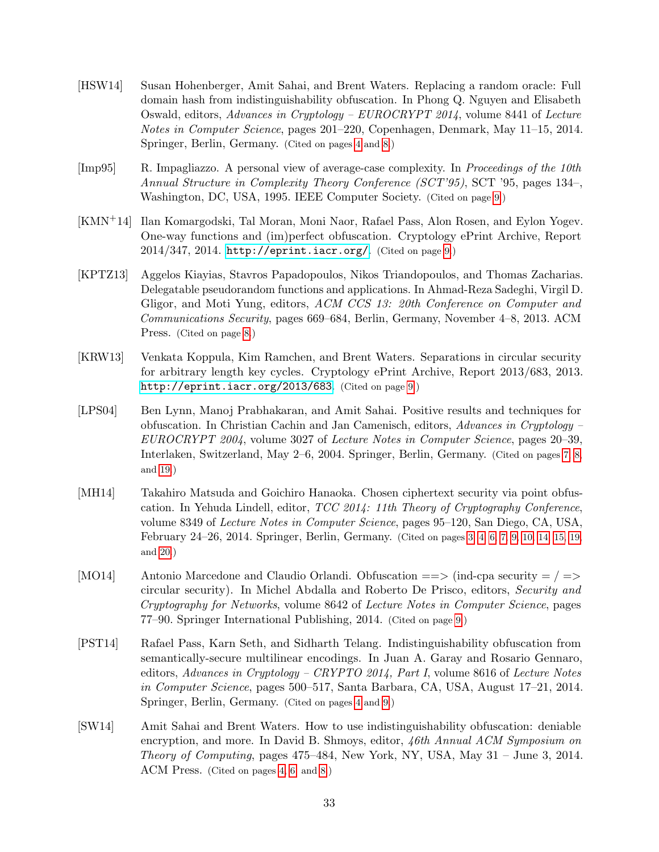- <span id="page-32-2"></span>[HSW14] Susan Hohenberger, Amit Sahai, and Brent Waters. Replacing a random oracle: Full domain hash from indistinguishability obfuscation. In Phong Q. Nguyen and Elisabeth Oswald, editors, Advances in Cryptology – EUROCRYPT 2014, volume 8441 of Lecture Notes in Computer Science, pages 201–220, Copenhagen, Denmark, May 11–15, 2014. Springer, Berlin, Germany. (Cited on pages [4](#page-3-1) and [8.](#page-7-0))
- <span id="page-32-9"></span>[Imp95] R. Impagliazzo. A personal view of average-case complexity. In Proceedings of the 10th Annual Structure in Complexity Theory Conference (SCT'95), SCT '95, pages 134–, Washington, DC, USA, 1995. IEEE Computer Society. (Cited on page [9.](#page-8-0))
- <span id="page-32-8"></span>[KMN+14] Ilan Komargodski, Tal Moran, Moni Naor, Rafael Pass, Alon Rosen, and Eylon Yogev. One-way functions and (im)perfect obfuscation. Cryptology ePrint Archive, Report  $2014/347$ ,  $2014$ . <http://eprint.iacr.org/>. (Cited on page [9.](#page-8-0))
- <span id="page-32-5"></span>[KPTZ13] Aggelos Kiayias, Stavros Papadopoulos, Nikos Triandopoulos, and Thomas Zacharias. Delegatable pseudorandom functions and applications. In Ahmad-Reza Sadeghi, Virgil D. Gligor, and Moti Yung, editors, ACM CCS 13: 20th Conference on Computer and Communications Security, pages 669–684, Berlin, Germany, November 4–8, 2013. ACM Press. (Cited on page [8.](#page-7-0))
- <span id="page-32-7"></span>[KRW13] Venkata Koppula, Kim Ramchen, and Brent Waters. Separations in circular security for arbitrary length key cycles. Cryptology ePrint Archive, Report 2013/683, 2013. <http://eprint.iacr.org/2013/683>. (Cited on page [9.](#page-8-0))
- <span id="page-32-4"></span>[LPS04] Ben Lynn, Manoj Prabhakaran, and Amit Sahai. Positive results and techniques for obfuscation. In Christian Cachin and Jan Camenisch, editors, Advances in Cryptology – EUROCRYPT 2004, volume 3027 of Lecture Notes in Computer Science, pages 20–39, Interlaken, Switzerland, May 2–6, 2004. Springer, Berlin, Germany. (Cited on pages [7,](#page-6-1) [8,](#page-7-0) and [19.](#page-18-2))
- <span id="page-32-0"></span>[MH14] Takahiro Matsuda and Goichiro Hanaoka. Chosen ciphertext security via point obfuscation. In Yehuda Lindell, editor, TCC 2014: 11th Theory of Cryptography Conference, volume 8349 of Lecture Notes in Computer Science, pages 95–120, San Diego, CA, USA, February 24–26, 2014. Springer, Berlin, Germany. (Cited on pages [3,](#page-2-1) [4,](#page-3-1) [6,](#page-5-2) [7,](#page-6-1) [9,](#page-8-0) [10,](#page-9-2) [14,](#page-13-2) [15,](#page-14-2) [19,](#page-18-2) and [20.](#page-19-3))
- <span id="page-32-6"></span>[MO14] Antonio Marcedone and Claudio Orlandi. Obfuscation  $==$  (ind-cpa security  $=$  /  $=$  > circular security). In Michel Abdalla and Roberto De Prisco, editors, Security and Cryptography for Networks, volume 8642 of Lecture Notes in Computer Science, pages 77–90. Springer International Publishing, 2014. (Cited on page [9.](#page-8-0))
- <span id="page-32-3"></span>[PST14] Rafael Pass, Karn Seth, and Sidharth Telang. Indistinguishability obfuscation from semantically-secure multilinear encodings. In Juan A. Garay and Rosario Gennaro, editors, Advances in Cryptology – CRYPTO 2014, Part I, volume 8616 of Lecture Notes in Computer Science, pages 500–517, Santa Barbara, CA, USA, August 17–21, 2014. Springer, Berlin, Germany. (Cited on pages [4](#page-3-1) and [9.](#page-8-0))
- <span id="page-32-1"></span>[SW14] Amit Sahai and Brent Waters. How to use indistinguishability obfuscation: deniable encryption, and more. In David B. Shmoys, editor, 46th Annual ACM Symposium on Theory of Computing, pages 475–484, New York, NY, USA, May 31 – June 3, 2014. ACM Press. (Cited on pages [4,](#page-3-1) [6,](#page-5-2) and [8.](#page-7-0))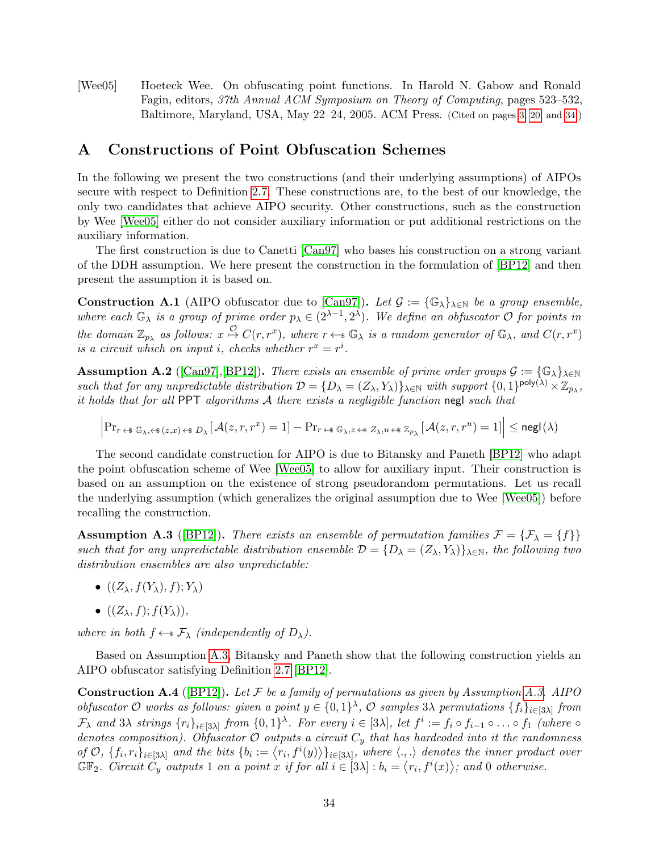<span id="page-33-2"></span><span id="page-33-1"></span>[Wee05] Hoeteck Wee. On obfuscating point functions. In Harold N. Gabow and Ronald Fagin, editors, 37th Annual ACM Symposium on Theory of Computing, pages 523–532, Baltimore, Maryland, USA, May 22–24, 2005. ACM Press. (Cited on pages [3,](#page-2-1) [20,](#page-19-3) and [34.](#page-33-2))

# <span id="page-33-0"></span>A Constructions of Point Obfuscation Schemes

In the following we present the two constructions (and their underlying assumptions) of AIPOs secure with respect to Definition [2.7.](#page-12-2) These constructions are, to the best of our knowledge, the only two candidates that achieve AIPO security. Other constructions, such as the construction by Wee [\[Wee05\]](#page-33-1) either do not consider auxiliary information or put additional restrictions on the auxiliary information.

The first construction is due to Canetti [\[Can97\]](#page-30-1) who bases his construction on a strong variant of the DDH assumption. We here present the construction in the formulation of [\[BP12\]](#page-29-0) and then present the assumption it is based on.

**Construction A.1** (AIPO obfuscator due to [\[Can97\]](#page-30-1)). Let  $\mathcal{G} := {\mathbb{G}}_{\lambda}$ <sub> $\lambda \in \mathbb{N}$ </sub> be a group ensemble, where each  $\mathbb{G}_{\lambda}$  is a group of prime order  $p_{\lambda} \in (2^{\lambda-1}, 2^{\lambda})$ . We define an obfuscator  $\mathcal O$  for points in the domain  $\mathbb{Z}_{p_{\lambda}}$  as follows:  $x \stackrel{\mathcal{O}}{\mapsto} C(r,r^x)$ , where  $r \leftarrow s \mathbb{G}_{\lambda}$  is a random generator of  $\mathbb{G}_{\lambda}$ , and  $C(r,r^x)$ is a circuit which on input i, checks whether  $r^x = r^i$ .

**Assumption A.2** ([\[Can97\]](#page-30-1),[\[BP12\]](#page-29-0)). There exists an ensemble of prime order groups  $\mathcal{G} := {\mathbb{G}}_{\lambda}$ ] $_{\lambda \in \mathbb{N}}$ such that for any unpredictable distribution  $\mathcal{D} = \{D_\lambda = (Z_\lambda, Y_\lambda)\}_{\lambda \in \mathbb{N}}$  with support  $\{0, 1\}^{\text{poly}(\lambda)} \times \mathbb{Z}_{p_\lambda}$ , it holds that for all PPT algorithms A there exists a negligible function negl such that

$$
\left|\Pr_{r\text{ is }\mathbb{G}_{\lambda},\text{ is }(z,x)\text{ is }D_{\lambda}}\left[\mathcal{A}(z,r,r^x)=1\right]-\Pr_{r\text{ is }\mathbb{G}_{\lambda},z\text{ is }Z_{\lambda},u\text{ is }\mathbb{Z}_{p_{\lambda}}}\left[\mathcal{A}(z,r,r^u)=1\right]\right|\leq \mathsf{negl}(\lambda)
$$

The second candidate construction for AIPO is due to Bitansky and Paneth [\[BP12\]](#page-29-0) who adapt the point obfuscation scheme of Wee [\[Wee05\]](#page-33-1) to allow for auxiliary input. Their construction is based on an assumption on the existence of strong pseudorandom permutations. Let us recall the underlying assumption (which generalizes the original assumption due to Wee [\[Wee05\]](#page-33-1)) before recalling the construction.

<span id="page-33-3"></span>**Assumption A.3** ([\[BP12\]](#page-29-0)). There exists an ensemble of permutation families  $\mathcal{F} = {\mathcal{F}_{\lambda} = {f}}$ such that for any unpredictable distribution ensemble  $\mathcal{D} = \{D_\lambda = (Z_\lambda, Y_\lambda)\}_{\lambda \in \mathbb{N}}$ , the following two distribution ensembles are also unpredictable:

- $\bullet$   $((Z_{\lambda}, f(Y_{\lambda}), f); Y_{\lambda})$
- $((Z_{\lambda}, f); f(Y_{\lambda})),$

where in both  $f \leftarrow s \mathcal{F}_{\lambda}$  (independently of  $D_{\lambda}$ ).

Based on Assumption [A.3,](#page-33-3) Bitansky and Paneth show that the following construction yields an AIPO obfuscator satisfying Definition [2.7](#page-12-2) [\[BP12\]](#page-29-0).

**Construction A.4** ([\[BP12\]](#page-29-0)). Let  $\mathcal F$  be a family of permutations as given by Assumption [A.3.](#page-33-3) AIPO obfuscator O works as follows: given a point  $y \in \{0,1\}^{\lambda}$ , O samples  $3\lambda$  permutations  $\{f_i\}_{i\in [3\lambda]}$  from  $\mathcal{F}_{\lambda}$  and  $3\lambda$  strings  $\{r_i\}_{i\in [3\lambda]}$  from  $\{0,1\}^{\lambda}$ . For every  $i \in [3\lambda]$ , let  $f^i := f_i \circ f_{i-1} \circ \ldots \circ f_1$  (where  $\circ$ denotes composition). Obfuscator  $\mathcal O$  outputs a circuit  $C_y$  that has hardcoded into it the randomness of O,  $\{f_i,r_i\}_{i\in[3\lambda]}$  and the bits  $\{b_i:=\langle r_i,f^i(y)\rangle\}_{i\in[3\lambda]}$ , where  $\langle .,.\rangle$  denotes the inner product over  $\mathbb{GF}_2$ . Circuit  $C_y$  outputs 1 on a point x if for all  $i \in [3\lambda] : b_i = \langle r_i, f^i(x) \rangle$ ; and 0 otherwise.